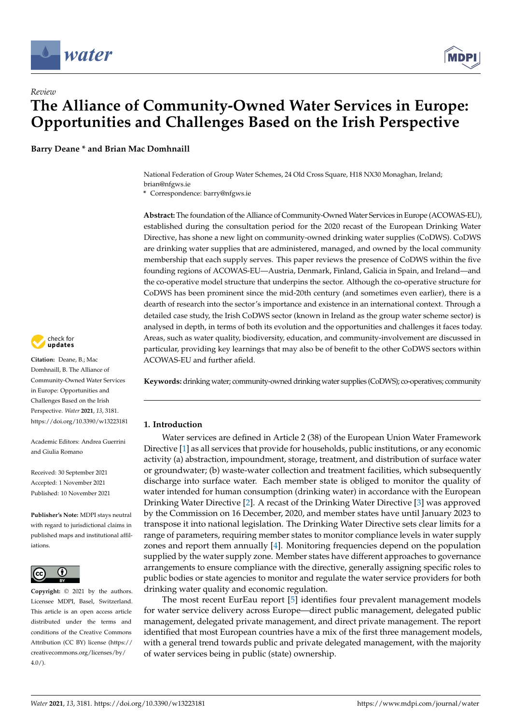

# *Review* **The Alliance of Community-Owned Water Services in Europe: Opportunities and Challenges Based on the Irish Perspective**

**Barry Deane \* and Brian Mac Domhnaill**

National Federation of Group Water Schemes, 24 Old Cross Square, H18 NX30 Monaghan, Ireland; brian@nfgws.ie

**\*** Correspondence: barry@nfgws.ie

**Abstract:** The foundation of the Alliance of Community-Owned Water Services in Europe (ACOWAS-EU), established during the consultation period for the 2020 recast of the European Drinking Water Directive, has shone a new light on community-owned drinking water supplies (CoDWS). CoDWS are drinking water supplies that are administered, managed, and owned by the local community membership that each supply serves. This paper reviews the presence of CoDWS within the five founding regions of ACOWAS-EU—Austria, Denmark, Finland, Galicia in Spain, and Ireland—and the co-operative model structure that underpins the sector. Although the co-operative structure for CoDWS has been prominent since the mid-20th century (and sometimes even earlier), there is a dearth of research into the sector's importance and existence in an international context. Through a detailed case study, the Irish CoDWS sector (known in Ireland as the group water scheme sector) is analysed in depth, in terms of both its evolution and the opportunities and challenges it faces today. Areas, such as water quality, biodiversity, education, and community-involvement are discussed in particular, providing key learnings that may also be of benefit to the other CoDWS sectors within ACOWAS-EU and further afield.

**Keywords:** drinking water; community-owned drinking water supplies (CoDWS); co-operatives; community

# **1. Introduction**

Water services are defined in Article 2 (38) of the European Union Water Framework Directive [\[1\]](#page-18-0) as all services that provide for households, public institutions, or any economic activity (a) abstraction, impoundment, storage, treatment, and distribution of surface water or groundwater; (b) waste-water collection and treatment facilities, which subsequently discharge into surface water. Each member state is obliged to monitor the quality of water intended for human consumption (drinking water) in accordance with the European Drinking Water Directive [\[2\]](#page-18-1). A recast of the Drinking Water Directive [\[3\]](#page-18-2) was approved by the Commission on 16 December, 2020, and member states have until January 2023 to transpose it into national legislation. The Drinking Water Directive sets clear limits for a range of parameters, requiring member states to monitor compliance levels in water supply zones and report them annually [\[4\]](#page-18-3). Monitoring frequencies depend on the population supplied by the water supply zone. Member states have different approaches to governance arrangements to ensure compliance with the directive, generally assigning specific roles to public bodies or state agencies to monitor and regulate the water service providers for both drinking water quality and economic regulation.

The most recent EurEau report [\[5\]](#page-18-4) identifies four prevalent management models for water service delivery across Europe—direct public management, delegated public management, delegated private management, and direct private management. The report identified that most European countries have a mix of the first three management models, with a general trend towards public and private delegated management, with the majority of water services being in public (state) ownership.



**Citation:** Deane, B.; Mac Domhnaill, B. The Alliance of Community-Owned Water Services in Europe: Opportunities and Challenges Based on the Irish Perspective. *Water* **2021**, *13*, 3181. <https://doi.org/10.3390/w13223181>

Academic Editors: Andrea Guerrini and Giulia Romano

Received: 30 September 2021 Accepted: 1 November 2021 Published: 10 November 2021

**Publisher's Note:** MDPI stays neutral with regard to jurisdictional claims in published maps and institutional affiliations.



**Copyright:** © 2021 by the authors. Licensee MDPI, Basel, Switzerland. This article is an open access article distributed under the terms and conditions of the Creative Commons Attribution (CC BY) license (https:/[/](https://creativecommons.org/licenses/by/4.0/) [creativecommons.org/licenses/by/](https://creativecommons.org/licenses/by/4.0/)  $4.0/$ ).

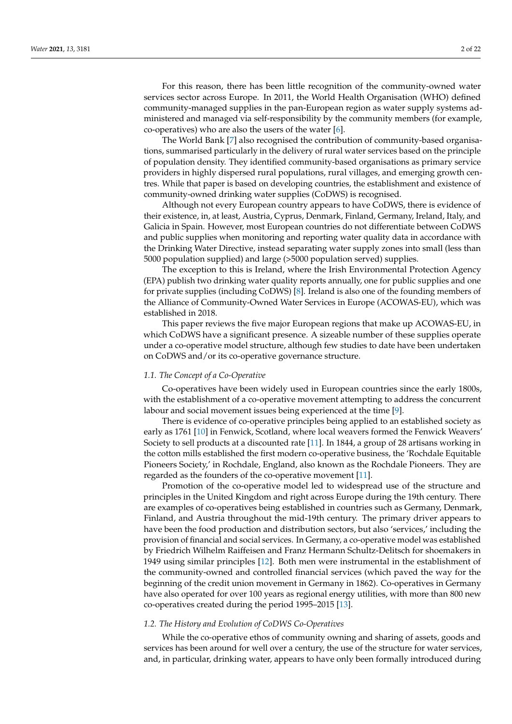For this reason, there has been little recognition of the community-owned water services sector across Europe. In 2011, the World Health Organisation (WHO) defined community-managed supplies in the pan-European region as water supply systems administered and managed via self-responsibility by the community members (for example, co-operatives) who are also the users of the water [\[6\]](#page-18-5).

The World Bank [\[7\]](#page-18-6) also recognised the contribution of community-based organisations, summarised particularly in the delivery of rural water services based on the principle of population density. They identified community-based organisations as primary service providers in highly dispersed rural populations, rural villages, and emerging growth centres. While that paper is based on developing countries, the establishment and existence of community-owned drinking water supplies (CoDWS) is recognised.

Although not every European country appears to have CoDWS, there is evidence of their existence, in, at least, Austria, Cyprus, Denmark, Finland, Germany, Ireland, Italy, and Galicia in Spain. However, most European countries do not differentiate between CoDWS and public supplies when monitoring and reporting water quality data in accordance with the Drinking Water Directive, instead separating water supply zones into small (less than 5000 population supplied) and large (>5000 population served) supplies.

The exception to this is Ireland, where the Irish Environmental Protection Agency (EPA) publish two drinking water quality reports annually, one for public supplies and one for private supplies (including CoDWS) [\[8\]](#page-19-0). Ireland is also one of the founding members of the Alliance of Community-Owned Water Services in Europe (ACOWAS-EU), which was established in 2018.

This paper reviews the five major European regions that make up ACOWAS-EU, in which CoDWS have a significant presence. A sizeable number of these supplies operate under a co-operative model structure, although few studies to date have been undertaken on CoDWS and/or its co-operative governance structure.

#### *1.1. The Concept of a Co-Operative*

Co-operatives have been widely used in European countries since the early 1800s, with the establishment of a co-operative movement attempting to address the concurrent labour and social movement issues being experienced at the time [\[9\]](#page-19-1).

There is evidence of co-operative principles being applied to an established society as early as 1761 [\[10\]](#page-19-2) in Fenwick, Scotland, where local weavers formed the Fenwick Weavers' Society to sell products at a discounted rate [\[11\]](#page-19-3). In 1844, a group of 28 artisans working in the cotton mills established the first modern co-operative business, the 'Rochdale Equitable Pioneers Society,' in Rochdale, England, also known as the Rochdale Pioneers. They are regarded as the founders of the co-operative movement [\[11\]](#page-19-3).

Promotion of the co-operative model led to widespread use of the structure and principles in the United Kingdom and right across Europe during the 19th century. There are examples of co-operatives being established in countries such as Germany, Denmark, Finland, and Austria throughout the mid-19th century. The primary driver appears to have been the food production and distribution sectors, but also 'services,' including the provision of financial and social services. In Germany, a co-operative model was established by Friedrich Wilhelm Raiffeisen and Franz Hermann Schultz-Delitsch for shoemakers in 1949 using similar principles [\[12\]](#page-19-4). Both men were instrumental in the establishment of the community-owned and controlled financial services (which paved the way for the beginning of the credit union movement in Germany in 1862). Co-operatives in Germany have also operated for over 100 years as regional energy utilities, with more than 800 new co-operatives created during the period 1995–2015 [\[13\]](#page-19-5).

## *1.2. The History and Evolution of CoDWS Co-Operatives*

While the co-operative ethos of community owning and sharing of assets, goods and services has been around for well over a century, the use of the structure for water services, and, in particular, drinking water, appears to have only been formally introduced during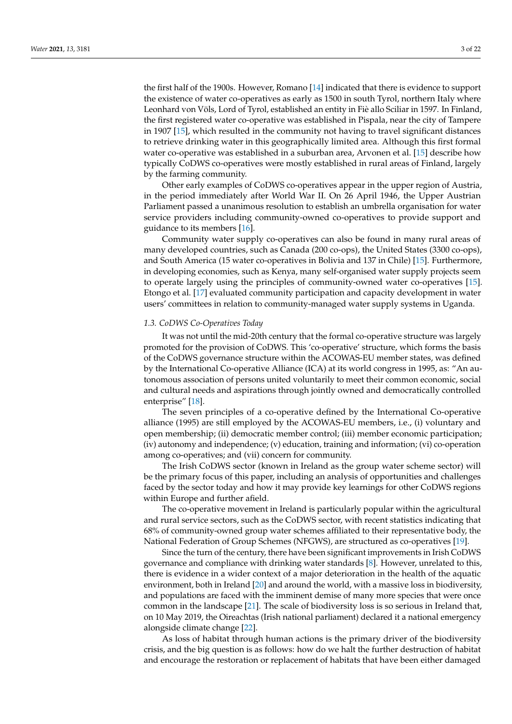the first half of the 1900s. However, Romano [\[14\]](#page-19-6) indicated that there is evidence to support the existence of water co-operatives as early as 1500 in south Tyrol, northern Italy where Leonhard von Völs, Lord of Tyrol, established an entity in Fiè allo Sciliar in 1597. In Finland, the first registered water co-operative was established in Pispala, near the city of Tampere in 1907 [\[15\]](#page-19-7), which resulted in the community not having to travel significant distances to retrieve drinking water in this geographically limited area. Although this first formal water co-operative was established in a suburban area, Arvonen et al. [\[15\]](#page-19-7) describe how typically CoDWS co-operatives were mostly established in rural areas of Finland, largely by the farming community.

Other early examples of CoDWS co-operatives appear in the upper region of Austria, in the period immediately after World War II. On 26 April 1946, the Upper Austrian Parliament passed a unanimous resolution to establish an umbrella organisation for water service providers including community-owned co-operatives to provide support and guidance to its members [\[16\]](#page-19-8).

Community water supply co-operatives can also be found in many rural areas of many developed countries, such as Canada (200 co-ops), the United States (3300 co-ops), and South America (15 water co-operatives in Bolivia and 137 in Chile) [\[15\]](#page-19-7). Furthermore, in developing economies, such as Kenya, many self-organised water supply projects seem to operate largely using the principles of community-owned water co-operatives [\[15\]](#page-19-7). Etongo et al. [\[17\]](#page-19-9) evaluated community participation and capacity development in water users' committees in relation to community-managed water supply systems in Uganda.

## *1.3. CoDWS Co-Operatives Today*

It was not until the mid-20th century that the formal co-operative structure was largely promoted for the provision of CoDWS. This 'co-operative' structure, which forms the basis of the CoDWS governance structure within the ACOWAS-EU member states, was defined by the International Co-operative Alliance (ICA) at its world congress in 1995, as: "An autonomous association of persons united voluntarily to meet their common economic, social and cultural needs and aspirations through jointly owned and democratically controlled enterprise" [\[18\]](#page-19-10).

The seven principles of a co-operative defined by the International Co-operative alliance (1995) are still employed by the ACOWAS-EU members, i.e., (i) voluntary and open membership; (ii) democratic member control; (iii) member economic participation; (iv) autonomy and independence; (v) education, training and information; (vi) co-operation among co-operatives; and (vii) concern for community.

The Irish CoDWS sector (known in Ireland as the group water scheme sector) will be the primary focus of this paper, including an analysis of opportunities and challenges faced by the sector today and how it may provide key learnings for other CoDWS regions within Europe and further afield.

The co-operative movement in Ireland is particularly popular within the agricultural and rural service sectors, such as the CoDWS sector, with recent statistics indicating that 68% of community-owned group water schemes affiliated to their representative body, the National Federation of Group Schemes (NFGWS), are structured as co-operatives [\[19\]](#page-19-11).

Since the turn of the century, there have been significant improvements in Irish CoDWS governance and compliance with drinking water standards [\[8\]](#page-19-0). However, unrelated to this, there is evidence in a wider context of a major deterioration in the health of the aquatic environment, both in Ireland [\[20\]](#page-19-12) and around the world, with a massive loss in biodiversity, and populations are faced with the imminent demise of many more species that were once common in the landscape [\[21\]](#page-19-13). The scale of biodiversity loss is so serious in Ireland that, on 10 May 2019, the Oireachtas (Irish national parliament) declared it a national emergency alongside climate change [\[22\]](#page-19-14).

As loss of habitat through human actions is the primary driver of the biodiversity crisis, and the big question is as follows: how do we halt the further destruction of habitat and encourage the restoration or replacement of habitats that have been either damaged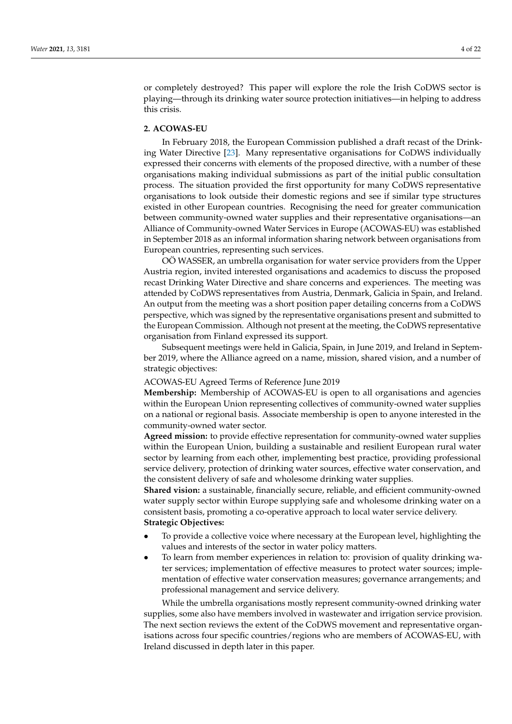or completely destroyed? This paper will explore the role the Irish CoDWS sector is playing—through its drinking water source protection initiatives—in helping to address this crisis.

# **2. ACOWAS-EU**

In February 2018, the European Commission published a draft recast of the Drinking Water Directive [\[23\]](#page-19-15). Many representative organisations for CoDWS individually expressed their concerns with elements of the proposed directive, with a number of these organisations making individual submissions as part of the initial public consultation process. The situation provided the first opportunity for many CoDWS representative organisations to look outside their domestic regions and see if similar type structures existed in other European countries. Recognising the need for greater communication between community-owned water supplies and their representative organisations—an Alliance of Community-owned Water Services in Europe (ACOWAS-EU) was established in September 2018 as an informal information sharing network between organisations from European countries, representing such services.

OÖ WASSER, an umbrella organisation for water service providers from the Upper Austria region, invited interested organisations and academics to discuss the proposed recast Drinking Water Directive and share concerns and experiences. The meeting was attended by CoDWS representatives from Austria, Denmark, Galicia in Spain, and Ireland. An output from the meeting was a short position paper detailing concerns from a CoDWS perspective, which was signed by the representative organisations present and submitted to the European Commission. Although not present at the meeting, the CoDWS representative organisation from Finland expressed its support.

Subsequent meetings were held in Galicia, Spain, in June 2019, and Ireland in September 2019, where the Alliance agreed on a name, mission, shared vision, and a number of strategic objectives:

## ACOWAS-EU Agreed Terms of Reference June 2019

**Membership:** Membership of ACOWAS-EU is open to all organisations and agencies within the European Union representing collectives of community-owned water supplies on a national or regional basis. Associate membership is open to anyone interested in the community-owned water sector.

**Agreed mission:** to provide effective representation for community-owned water supplies within the European Union, building a sustainable and resilient European rural water sector by learning from each other, implementing best practice, providing professional service delivery, protection of drinking water sources, effective water conservation, and the consistent delivery of safe and wholesome drinking water supplies.

**Shared vision:** a sustainable, financially secure, reliable, and efficient community-owned water supply sector within Europe supplying safe and wholesome drinking water on a consistent basis, promoting a co-operative approach to local water service delivery. **Strategic Objectives:**

- To provide a collective voice where necessary at the European level, highlighting the values and interests of the sector in water policy matters.
- To learn from member experiences in relation to: provision of quality drinking water services; implementation of effective measures to protect water sources; implementation of effective water conservation measures; governance arrangements; and professional management and service delivery.

While the umbrella organisations mostly represent community-owned drinking water supplies, some also have members involved in wastewater and irrigation service provision. The next section reviews the extent of the CoDWS movement and representative organisations across four specific countries/regions who are members of ACOWAS-EU, with Ireland discussed in depth later in this paper.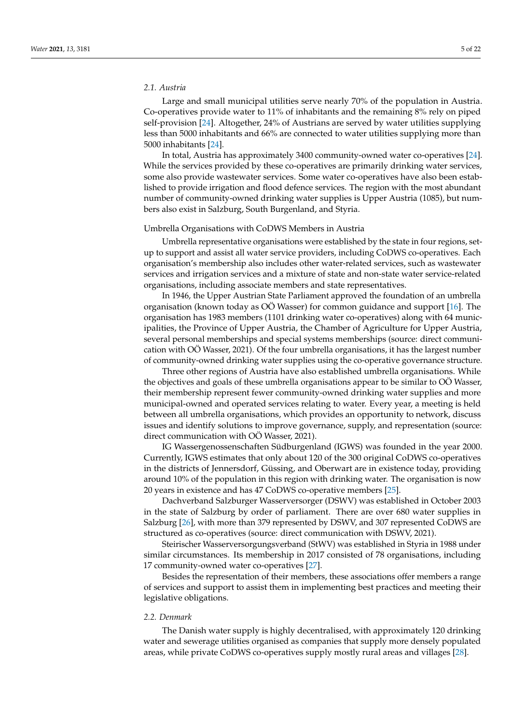# *2.1. Austria*

Large and small municipal utilities serve nearly 70% of the population in Austria. Co-operatives provide water to 11% of inhabitants and the remaining 8% rely on piped self-provision [\[24\]](#page-19-16). Altogether, 24% of Austrians are served by water utilities supplying less than 5000 inhabitants and 66% are connected to water utilities supplying more than 5000 inhabitants [\[24\]](#page-19-16).

In total, Austria has approximately 3400 community-owned water co-operatives [\[24\]](#page-19-16). While the services provided by these co-operatives are primarily drinking water services, some also provide wastewater services. Some water co-operatives have also been established to provide irrigation and flood defence services. The region with the most abundant number of community-owned drinking water supplies is Upper Austria (1085), but numbers also exist in Salzburg, South Burgenland, and Styria.

#### Umbrella Organisations with CoDWS Members in Austria

Umbrella representative organisations were established by the state in four regions, setup to support and assist all water service providers, including CoDWS co-operatives. Each organisation's membership also includes other water-related services, such as wastewater services and irrigation services and a mixture of state and non-state water service-related organisations, including associate members and state representatives.

In 1946, the Upper Austrian State Parliament approved the foundation of an umbrella organisation (known today as OÖ Wasser) for common guidance and support [\[16\]](#page-19-8). The organisation has 1983 members (1101 drinking water co-operatives) along with 64 municipalities, the Province of Upper Austria, the Chamber of Agriculture for Upper Austria, several personal memberships and special systems memberships (source: direct communication with OÖ Wasser, 2021). Of the four umbrella organisations, it has the largest number of community-owned drinking water supplies using the co-operative governance structure.

Three other regions of Austria have also established umbrella organisations. While the objectives and goals of these umbrella organisations appear to be similar to OÖ Wasser, their membership represent fewer community-owned drinking water supplies and more municipal-owned and operated services relating to water. Every year, a meeting is held between all umbrella organisations, which provides an opportunity to network, discuss issues and identify solutions to improve governance, supply, and representation (source: direct communication with OÖ Wasser, 2021).

IG Wassergenossenschaften Südburgenland (IGWS) was founded in the year 2000. Currently, IGWS estimates that only about 120 of the 300 original CoDWS co-operatives in the districts of Jennersdorf, Güssing, and Oberwart are in existence today, providing around 10% of the population in this region with drinking water. The organisation is now 20 years in existence and has 47 CoDWS co-operative members [\[25\]](#page-19-17).

Dachverband Salzburger Wasserversorger (DSWV) was established in October 2003 in the state of Salzburg by order of parliament. There are over 680 water supplies in Salzburg [\[26\]](#page-19-18), with more than 379 represented by DSWV, and 307 represented CoDWS are structured as co-operatives (source: direct communication with DSWV, 2021).

Steirischer Wasserversorgungsverband (StWV) was established in Styria in 1988 under similar circumstances. Its membership in 2017 consisted of 78 organisations, including 17 community-owned water co-operatives [\[27\]](#page-19-19).

Besides the representation of their members, these associations offer members a range of services and support to assist them in implementing best practices and meeting their legislative obligations.

#### *2.2. Denmark*

The Danish water supply is highly decentralised, with approximately 120 drinking water and sewerage utilities organised as companies that supply more densely populated areas, while private CoDWS co-operatives supply mostly rural areas and villages [\[28\]](#page-19-20).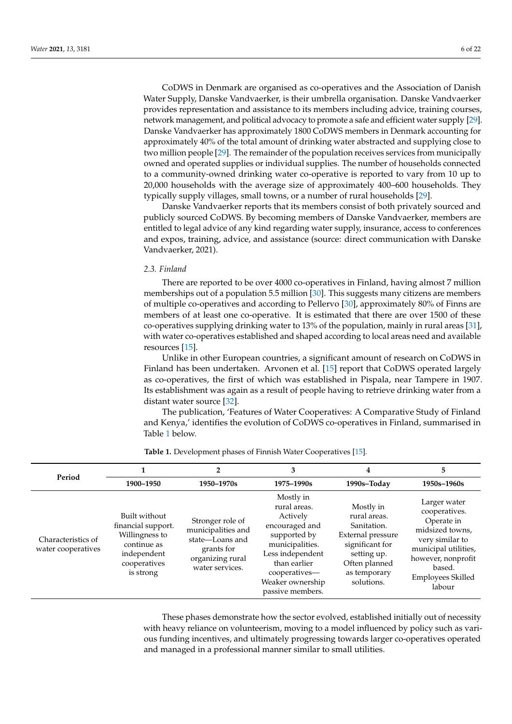CoDWS in Denmark are organised as co-operatives and the Association of Danish Water Supply, Danske Vandvaerker, is their umbrella organisation. Danske Vandvaerker provides representation and assistance to its members including advice, training courses, network management, and political advocacy to promote a safe and efficient water supply [\[29\]](#page-19-21). Danske Vandvaerker has approximately 1800 CoDWS members in Denmark accounting for approximately 40% of the total amount of drinking water abstracted and supplying close to two million people [\[29\]](#page-19-21). The remainder of the population receives services from municipally owned and operated supplies or individual supplies. The number of households connected to a community-owned drinking water co-operative is reported to vary from 10 up to 20,000 households with the average size of approximately 400–600 households. They typically supply villages, small towns, or a number of rural households [\[29\]](#page-19-21).

Danske Vandvaerker reports that its members consist of both privately sourced and publicly sourced CoDWS. By becoming members of Danske Vandvaerker, members are entitled to legal advice of any kind regarding water supply, insurance, access to conferences and expos, training, advice, and assistance (source: direct communication with Danske Vandvaerker, 2021).

## *2.3. Finland*

There are reported to be over 4000 co-operatives in Finland, having almost 7 million memberships out of a population 5.5 million [\[30\]](#page-19-22). This suggests many citizens are members of multiple co-operatives and according to Pellervo [\[30\]](#page-19-22), approximately 80% of Finns are members of at least one co-operative. It is estimated that there are over 1500 of these co-operatives supplying drinking water to 13% of the population, mainly in rural areas [\[31\]](#page-19-23), with water co-operatives established and shaped according to local areas need and available resources [\[15\]](#page-19-7).

Unlike in other European countries, a significant amount of research on CoDWS in Finland has been undertaken. Arvonen et al. [\[15\]](#page-19-7) report that CoDWS operated largely as co-operatives, the first of which was established in Pispala, near Tampere in 1907. Its establishment was again as a result of people having to retrieve drinking water from a distant water source [\[32\]](#page-19-24).

The publication, 'Features of Water Cooperatives: A Comparative Study of Finland and Kenya,' identifies the evolution of CoDWS co-operatives in Finland, summarised in Table [1](#page-5-0) below.

<span id="page-5-0"></span>

| Period                                   |                                                                                                                  |                                                                                                                | 3                                                                                                                                                                                       | 4                                                                                                                                              | 5                                                                                                                                                                        |
|------------------------------------------|------------------------------------------------------------------------------------------------------------------|----------------------------------------------------------------------------------------------------------------|-----------------------------------------------------------------------------------------------------------------------------------------------------------------------------------------|------------------------------------------------------------------------------------------------------------------------------------------------|--------------------------------------------------------------------------------------------------------------------------------------------------------------------------|
|                                          | 1900-1950                                                                                                        | 1950-1970s                                                                                                     | 1975-1990s                                                                                                                                                                              | 1990s-Today                                                                                                                                    | 1950s-1960s                                                                                                                                                              |
| Characteristics of<br>water cooperatives | Built without<br>financial support.<br>Willingness to<br>continue as<br>independent<br>cooperatives<br>is strong | Stronger role of<br>municipalities and<br>state-Loans and<br>grants for<br>organizing rural<br>water services. | Mostly in<br>rural areas.<br>Actively<br>encouraged and<br>supported by<br>municipalities.<br>Less independent<br>than earlier<br>cooperatives—<br>Weaker ownership<br>passive members. | Mostly in<br>rural areas.<br>Sanitation.<br>External pressure<br>significant for<br>setting up.<br>Often planned<br>as temporary<br>solutions. | Larger water<br>cooperatives.<br>Operate in<br>midsized towns,<br>very similar to<br>municipal utilities,<br>however, nonprofit<br>based.<br>Employees Skilled<br>labour |

**Table 1.** Development phases of Finnish Water Cooperatives [\[15\]](#page-19-7).

These phases demonstrate how the sector evolved, established initially out of necessity with heavy reliance on volunteerism, moving to a model influenced by policy such as various funding incentives, and ultimately progressing towards larger co-operatives operated and managed in a professional manner similar to small utilities.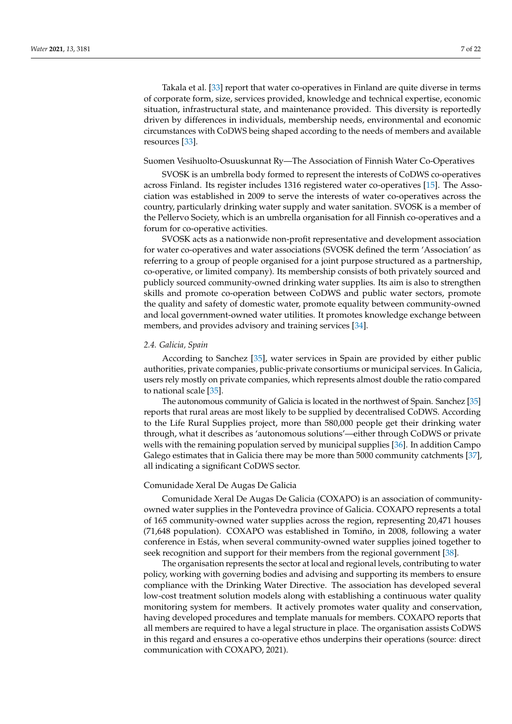Takala et al. [\[33\]](#page-19-25) report that water co-operatives in Finland are quite diverse in terms of corporate form, size, services provided, knowledge and technical expertise, economic situation, infrastructural state, and maintenance provided. This diversity is reportedly driven by differences in individuals, membership needs, environmental and economic circumstances with CoDWS being shaped according to the needs of members and available resources [\[33\]](#page-19-25).

#### Suomen Vesihuolto-Osuuskunnat Ry—The Association of Finnish Water Co-Operatives

SVOSK is an umbrella body formed to represent the interests of CoDWS co-operatives across Finland. Its register includes 1316 registered water co-operatives [\[15\]](#page-19-7). The Association was established in 2009 to serve the interests of water co-operatives across the country, particularly drinking water supply and water sanitation. SVOSK is a member of the Pellervo Society, which is an umbrella organisation for all Finnish co-operatives and a forum for co-operative activities.

SVOSK acts as a nationwide non-profit representative and development association for water co-operatives and water associations (SVOSK defined the term 'Association' as referring to a group of people organised for a joint purpose structured as a partnership, co-operative, or limited company). Its membership consists of both privately sourced and publicly sourced community-owned drinking water supplies. Its aim is also to strengthen skills and promote co-operation between CoDWS and public water sectors, promote the quality and safety of domestic water, promote equality between community-owned and local government-owned water utilities. It promotes knowledge exchange between members, and provides advisory and training services [\[34\]](#page-19-26).

#### *2.4. Galicia, Spain*

According to Sanchez [\[35\]](#page-19-27), water services in Spain are provided by either public authorities, private companies, public-private consortiums or municipal services. In Galicia, users rely mostly on private companies, which represents almost double the ratio compared to national scale [\[35\]](#page-19-27).

The autonomous community of Galicia is located in the northwest of Spain. Sanchez [\[35\]](#page-19-27) reports that rural areas are most likely to be supplied by decentralised CoDWS. According to the Life Rural Supplies project, more than 580,000 people get their drinking water through, what it describes as 'autonomous solutions'—either through CoDWS or private wells with the remaining population served by municipal supplies [\[36\]](#page-20-0). In addition Campo Galego estimates that in Galicia there may be more than 5000 community catchments [\[37\]](#page-20-1), all indicating a significant CoDWS sector.

# Comunidade Xeral De Augas De Galicia

Comunidade Xeral De Augas De Galicia (COXAPO) is an association of communityowned water supplies in the Pontevedra province of Galicia. COXAPO represents a total of 165 community-owned water supplies across the region, representing 20,471 houses (71,648 population). COXAPO was established in Tomiño, in 2008, following a water conference in Estás, when several community-owned water supplies joined together to seek recognition and support for their members from the regional government [\[38\]](#page-20-2).

The organisation represents the sector at local and regional levels, contributing to water policy, working with governing bodies and advising and supporting its members to ensure compliance with the Drinking Water Directive. The association has developed several low-cost treatment solution models along with establishing a continuous water quality monitoring system for members. It actively promotes water quality and conservation, having developed procedures and template manuals for members. COXAPO reports that all members are required to have a legal structure in place. The organisation assists CoDWS in this regard and ensures a co-operative ethos underpins their operations (source: direct communication with COXAPO, 2021).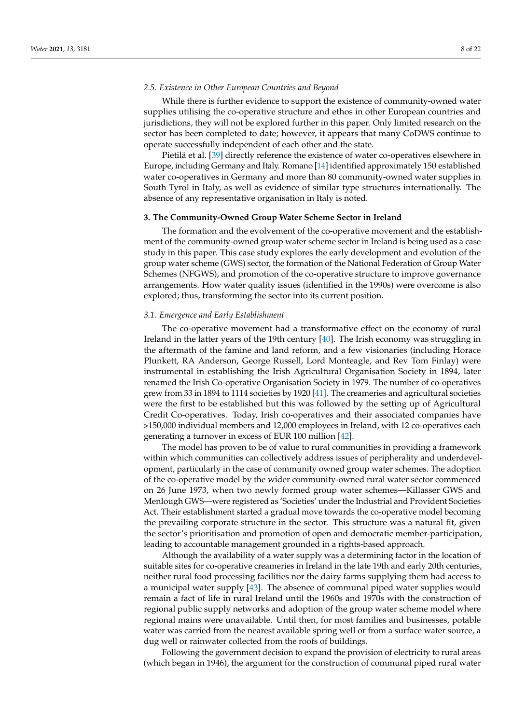# *2.5. Existence in Other European Countries and Beyond*

While there is further evidence to support the existence of community-owned water supplies utilising the co-operative structure and ethos in other European countries and jurisdictions, they will not be explored further in this paper. Only limited research on the sector has been completed to date; however, it appears that many CoDWS continue to operate successfully independent of each other and the state.

Pietilä et al. [\[39\]](#page-20-3) directly reference the existence of water co-operatives elsewhere in Europe, including Germany and Italy. Romano [\[14\]](#page-19-6) identified approximately 150 established water co-operatives in Germany and more than 80 community-owned water supplies in South Tyrol in Italy, as well as evidence of similar type structures internationally. The absence of any representative organisation in Italy is noted.

#### **3. The Community-Owned Group Water Scheme Sector in Ireland**

The formation and the evolvement of the co-operative movement and the establishment of the community-owned group water scheme sector in Ireland is being used as a case study in this paper. This case study explores the early development and evolution of the group water scheme (GWS) sector, the formation of the National Federation of Group Water Schemes (NFGWS), and promotion of the co-operative structure to improve governance arrangements. How water quality issues (identified in the 1990s) were overcome is also explored; thus, transforming the sector into its current position.

#### *3.1. Emergence and Early Establishment*

The co-operative movement had a transformative effect on the economy of rural Ireland in the latter years of the 19th century [\[40\]](#page-20-4). The Irish economy was struggling in the aftermath of the famine and land reform, and a few visionaries (including Horace Plunkett, RA Anderson, George Russell, Lord Monteagle, and Rev Tom Finlay) were instrumental in establishing the Irish Agricultural Organisation Society in 1894, later renamed the Irish Co-operative Organisation Society in 1979. The number of co-operatives grew from 33 in 1894 to 1114 societies by 1920 [\[41\]](#page-20-5). The creameries and agricultural societies were the first to be established but this was followed by the setting up of Agricultural Credit Co-operatives. Today, Irish co-operatives and their associated companies have >150,000 individual members and 12,000 employees in Ireland, with 12 co-operatives each generating a turnover in excess of EUR 100 million [\[42\]](#page-20-6).

The model has proven to be of value to rural communities in providing a framework within which communities can collectively address issues of peripherality and underdevelopment, particularly in the case of community owned group water schemes. The adoption of the co-operative model by the wider community-owned rural water sector commenced on 26 June 1973, when two newly formed group water schemes—Killasser GWS and Menlough GWS—were registered as 'Societies' under the Industrial and Provident Societies Act. Their establishment started a gradual move towards the co-operative model becoming the prevailing corporate structure in the sector. This structure was a natural fit, given the sector's prioritisation and promotion of open and democratic member-participation, leading to accountable management grounded in a rights-based approach.

Although the availability of a water supply was a determining factor in the location of suitable sites for co-operative creameries in Ireland in the late 19th and early 20th centuries, neither rural food processing facilities nor the dairy farms supplying them had access to a municipal water supply [\[43\]](#page-20-7). The absence of communal piped water supplies would remain a fact of life in rural Ireland until the 1960s and 1970s with the construction of regional public supply networks and adoption of the group water scheme model where regional mains were unavailable. Until then, for most families and businesses, potable water was carried from the nearest available spring well or from a surface water source, a dug well or rainwater collected from the roofs of buildings.

Following the government decision to expand the provision of electricity to rural areas (which began in 1946), the argument for the construction of communal piped rural water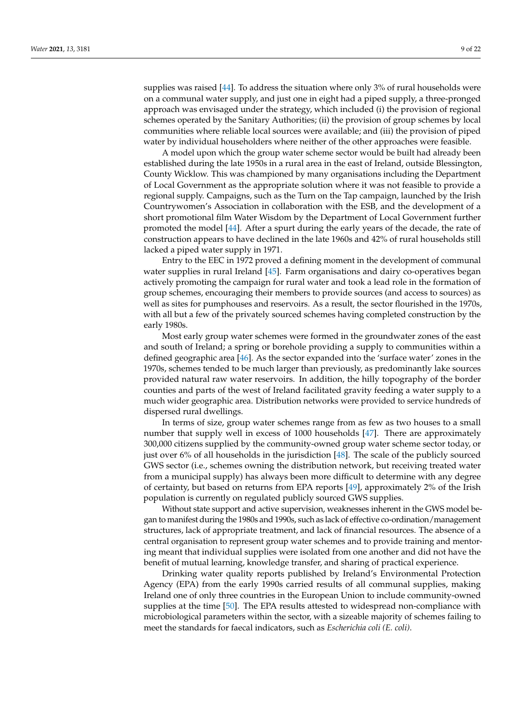supplies was raised [\[44\]](#page-20-8). To address the situation where only 3% of rural households were on a communal water supply, and just one in eight had a piped supply, a three-pronged approach was envisaged under the strategy, which included (i) the provision of regional schemes operated by the Sanitary Authorities; (ii) the provision of group schemes by local communities where reliable local sources were available; and (iii) the provision of piped water by individual householders where neither of the other approaches were feasible.

A model upon which the group water scheme sector would be built had already been established during the late 1950s in a rural area in the east of Ireland, outside Blessington, County Wicklow. This was championed by many organisations including the Department of Local Government as the appropriate solution where it was not feasible to provide a regional supply. Campaigns, such as the Turn on the Tap campaign, launched by the Irish Countrywomen's Association in collaboration with the ESB, and the development of a short promotional film Water Wisdom by the Department of Local Government further promoted the model [\[44\]](#page-20-8). After a spurt during the early years of the decade, the rate of construction appears to have declined in the late 1960s and 42% of rural households still lacked a piped water supply in 1971.

Entry to the EEC in 1972 proved a defining moment in the development of communal water supplies in rural Ireland [\[45\]](#page-20-9). Farm organisations and dairy co-operatives began actively promoting the campaign for rural water and took a lead role in the formation of group schemes, encouraging their members to provide sources (and access to sources) as well as sites for pumphouses and reservoirs. As a result, the sector flourished in the 1970s, with all but a few of the privately sourced schemes having completed construction by the early 1980s.

Most early group water schemes were formed in the groundwater zones of the east and south of Ireland; a spring or borehole providing a supply to communities within a defined geographic area [\[46\]](#page-20-10). As the sector expanded into the 'surface water' zones in the 1970s, schemes tended to be much larger than previously, as predominantly lake sources provided natural raw water reservoirs. In addition, the hilly topography of the border counties and parts of the west of Ireland facilitated gravity feeding a water supply to a much wider geographic area. Distribution networks were provided to service hundreds of dispersed rural dwellings.

In terms of size, group water schemes range from as few as two houses to a small number that supply well in excess of 1000 households [\[47\]](#page-20-11). There are approximately 300,000 citizens supplied by the community-owned group water scheme sector today, or just over 6% of all households in the jurisdiction [\[48\]](#page-20-12). The scale of the publicly sourced GWS sector (i.e., schemes owning the distribution network, but receiving treated water from a municipal supply) has always been more difficult to determine with any degree of certainty, but based on returns from EPA reports [\[49\]](#page-20-13), approximately 2% of the Irish population is currently on regulated publicly sourced GWS supplies.

Without state support and active supervision, weaknesses inherent in the GWS model began to manifest during the 1980s and 1990s, such as lack of effective co-ordination/management structures, lack of appropriate treatment, and lack of financial resources. The absence of a central organisation to represent group water schemes and to provide training and mentoring meant that individual supplies were isolated from one another and did not have the benefit of mutual learning, knowledge transfer, and sharing of practical experience.

Drinking water quality reports published by Ireland's Environmental Protection Agency (EPA) from the early 1990s carried results of all communal supplies, making Ireland one of only three countries in the European Union to include community-owned supplies at the time [\[50\]](#page-20-14). The EPA results attested to widespread non-compliance with microbiological parameters within the sector, with a sizeable majority of schemes failing to meet the standards for faecal indicators, such as *Escherichia coli (E. coli)*.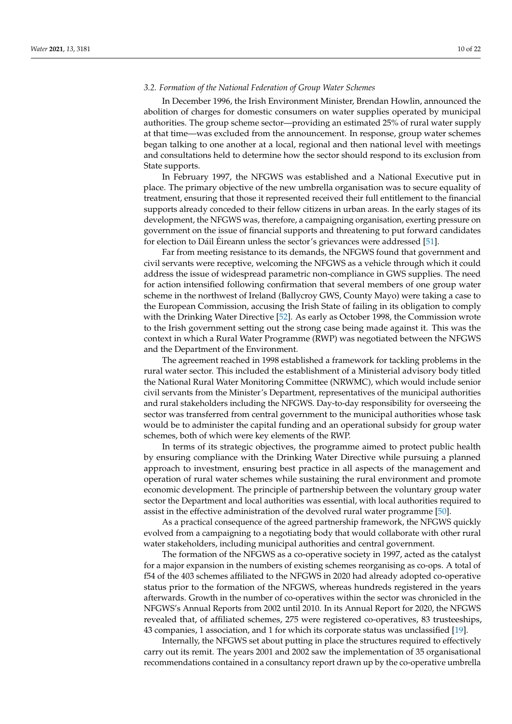## *3.2. Formation of the National Federation of Group Water Schemes*

In December 1996, the Irish Environment Minister, Brendan Howlin, announced the abolition of charges for domestic consumers on water supplies operated by municipal authorities. The group scheme sector—providing an estimated 25% of rural water supply at that time—was excluded from the announcement. In response, group water schemes began talking to one another at a local, regional and then national level with meetings and consultations held to determine how the sector should respond to its exclusion from State supports.

In February 1997, the NFGWS was established and a National Executive put in place. The primary objective of the new umbrella organisation was to secure equality of treatment, ensuring that those it represented received their full entitlement to the financial supports already conceded to their fellow citizens in urban areas. In the early stages of its development, the NFGWS was, therefore, a campaigning organisation, exerting pressure on government on the issue of financial supports and threatening to put forward candidates for election to Dáil Éireann unless the sector's grievances were addressed [\[51\]](#page-20-15).

Far from meeting resistance to its demands, the NFGWS found that government and civil servants were receptive, welcoming the NFGWS as a vehicle through which it could address the issue of widespread parametric non-compliance in GWS supplies. The need for action intensified following confirmation that several members of one group water scheme in the northwest of Ireland (Ballycroy GWS, County Mayo) were taking a case to the European Commission, accusing the Irish State of failing in its obligation to comply with the Drinking Water Directive [\[52\]](#page-20-16). As early as October 1998, the Commission wrote to the Irish government setting out the strong case being made against it. This was the context in which a Rural Water Programme (RWP) was negotiated between the NFGWS and the Department of the Environment.

The agreement reached in 1998 established a framework for tackling problems in the rural water sector. This included the establishment of a Ministerial advisory body titled the National Rural Water Monitoring Committee (NRWMC), which would include senior civil servants from the Minister's Department, representatives of the municipal authorities and rural stakeholders including the NFGWS. Day-to-day responsibility for overseeing the sector was transferred from central government to the municipal authorities whose task would be to administer the capital funding and an operational subsidy for group water schemes, both of which were key elements of the RWP.

In terms of its strategic objectives, the programme aimed to protect public health by ensuring compliance with the Drinking Water Directive while pursuing a planned approach to investment, ensuring best practice in all aspects of the management and operation of rural water schemes while sustaining the rural environment and promote economic development. The principle of partnership between the voluntary group water sector the Department and local authorities was essential, with local authorities required to assist in the effective administration of the devolved rural water programme [\[50\]](#page-20-14).

As a practical consequence of the agreed partnership framework, the NFGWS quickly evolved from a campaigning to a negotiating body that would collaborate with other rural water stakeholders, including municipal authorities and central government.

The formation of the NFGWS as a co-operative society in 1997, acted as the catalyst for a major expansion in the numbers of existing schemes reorganising as co-ops. A total of f54 of the 403 schemes affiliated to the NFGWS in 2020 had already adopted co-operative status prior to the formation of the NFGWS, whereas hundreds registered in the years afterwards. Growth in the number of co-operatives within the sector was chronicled in the NFGWS's Annual Reports from 2002 until 2010. In its Annual Report for 2020, the NFGWS revealed that, of affiliated schemes, 275 were registered co-operatives, 83 trusteeships, 43 companies, 1 association, and 1 for which its corporate status was unclassified [\[19\]](#page-19-11).

Internally, the NFGWS set about putting in place the structures required to effectively carry out its remit. The years 2001 and 2002 saw the implementation of 35 organisational recommendations contained in a consultancy report drawn up by the co-operative umbrella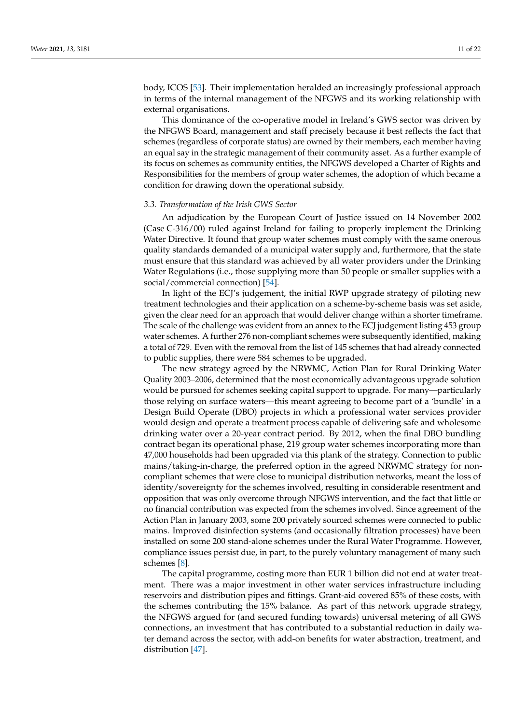body, ICOS [\[53\]](#page-20-17). Their implementation heralded an increasingly professional approach in terms of the internal management of the NFGWS and its working relationship with external organisations.

This dominance of the co-operative model in Ireland's GWS sector was driven by the NFGWS Board, management and staff precisely because it best reflects the fact that schemes (regardless of corporate status) are owned by their members, each member having an equal say in the strategic management of their community asset. As a further example of its focus on schemes as community entities, the NFGWS developed a Charter of Rights and Responsibilities for the members of group water schemes, the adoption of which became a condition for drawing down the operational subsidy.

#### *3.3. Transformation of the Irish GWS Sector*

An adjudication by the European Court of Justice issued on 14 November 2002 (Case C-316/00) ruled against Ireland for failing to properly implement the Drinking Water Directive. It found that group water schemes must comply with the same onerous quality standards demanded of a municipal water supply and, furthermore, that the state must ensure that this standard was achieved by all water providers under the Drinking Water Regulations (i.e., those supplying more than 50 people or smaller supplies with a social/commercial connection) [\[54\]](#page-20-18).

In light of the ECJ's judgement, the initial RWP upgrade strategy of piloting new treatment technologies and their application on a scheme-by-scheme basis was set aside, given the clear need for an approach that would deliver change within a shorter timeframe. The scale of the challenge was evident from an annex to the ECJ judgement listing 453 group water schemes. A further 276 non-compliant schemes were subsequently identified, making a total of 729. Even with the removal from the list of 145 schemes that had already connected to public supplies, there were 584 schemes to be upgraded.

The new strategy agreed by the NRWMC, Action Plan for Rural Drinking Water Quality 2003–2006, determined that the most economically advantageous upgrade solution would be pursued for schemes seeking capital support to upgrade. For many—particularly those relying on surface waters—this meant agreeing to become part of a 'bundle' in a Design Build Operate (DBO) projects in which a professional water services provider would design and operate a treatment process capable of delivering safe and wholesome drinking water over a 20-year contract period. By 2012, when the final DBO bundling contract began its operational phase, 219 group water schemes incorporating more than 47,000 households had been upgraded via this plank of the strategy. Connection to public mains/taking-in-charge, the preferred option in the agreed NRWMC strategy for noncompliant schemes that were close to municipal distribution networks, meant the loss of identity/sovereignty for the schemes involved, resulting in considerable resentment and opposition that was only overcome through NFGWS intervention, and the fact that little or no financial contribution was expected from the schemes involved. Since agreement of the Action Plan in January 2003, some 200 privately sourced schemes were connected to public mains. Improved disinfection systems (and occasionally filtration processes) have been installed on some 200 stand-alone schemes under the Rural Water Programme. However, compliance issues persist due, in part, to the purely voluntary management of many such schemes [\[8\]](#page-19-0).

The capital programme, costing more than EUR 1 billion did not end at water treatment. There was a major investment in other water services infrastructure including reservoirs and distribution pipes and fittings. Grant-aid covered 85% of these costs, with the schemes contributing the 15% balance. As part of this network upgrade strategy, the NFGWS argued for (and secured funding towards) universal metering of all GWS connections, an investment that has contributed to a substantial reduction in daily water demand across the sector, with add-on benefits for water abstraction, treatment, and distribution [\[47\]](#page-20-11).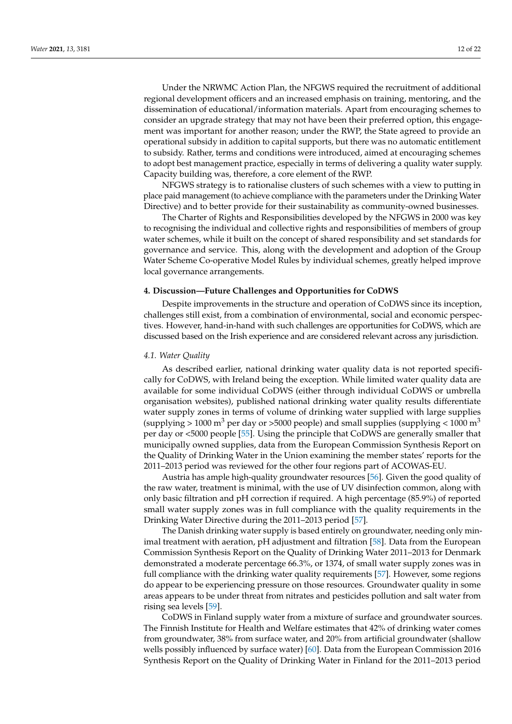Under the NRWMC Action Plan, the NFGWS required the recruitment of additional regional development officers and an increased emphasis on training, mentoring, and the dissemination of educational/information materials. Apart from encouraging schemes to consider an upgrade strategy that may not have been their preferred option, this engagement was important for another reason; under the RWP, the State agreed to provide an operational subsidy in addition to capital supports, but there was no automatic entitlement to subsidy. Rather, terms and conditions were introduced, aimed at encouraging schemes to adopt best management practice, especially in terms of delivering a quality water supply. Capacity building was, therefore, a core element of the RWP.

NFGWS strategy is to rationalise clusters of such schemes with a view to putting in place paid management (to achieve compliance with the parameters under the Drinking Water Directive) and to better provide for their sustainability as community-owned businesses.

The Charter of Rights and Responsibilities developed by the NFGWS in 2000 was key to recognising the individual and collective rights and responsibilities of members of group water schemes, while it built on the concept of shared responsibility and set standards for governance and service. This, along with the development and adoption of the Group Water Scheme Co-operative Model Rules by individual schemes, greatly helped improve local governance arrangements.

#### **4. Discussion—Future Challenges and Opportunities for CoDWS**

Despite improvements in the structure and operation of CoDWS since its inception, challenges still exist, from a combination of environmental, social and economic perspectives. However, hand-in-hand with such challenges are opportunities for CoDWS, which are discussed based on the Irish experience and are considered relevant across any jurisdiction.

#### *4.1. Water Quality*

As described earlier, national drinking water quality data is not reported specifically for CoDWS, with Ireland being the exception. While limited water quality data are available for some individual CoDWS (either through individual CoDWS or umbrella organisation websites), published national drinking water quality results differentiate water supply zones in terms of volume of drinking water supplied with large supplies (supplying  $> 1000$  m<sup>3</sup> per day or  $>5000$  people) and small supplies (supplying  $< 1000$  m<sup>3</sup> per day or <5000 people [\[55\]](#page-20-19). Using the principle that CoDWS are generally smaller that municipally owned supplies, data from the European Commission Synthesis Report on the Quality of Drinking Water in the Union examining the member states' reports for the 2011–2013 period was reviewed for the other four regions part of ACOWAS-EU.

Austria has ample high-quality groundwater resources [\[56\]](#page-20-20). Given the good quality of the raw water, treatment is minimal, with the use of UV disinfection common, along with only basic filtration and pH correction if required. A high percentage (85.9%) of reported small water supply zones was in full compliance with the quality requirements in the Drinking Water Directive during the 2011–2013 period [\[57\]](#page-20-21).

The Danish drinking water supply is based entirely on groundwater, needing only minimal treatment with aeration, pH adjustment and filtration [\[58\]](#page-20-22). Data from the European Commission Synthesis Report on the Quality of Drinking Water 2011–2013 for Denmark demonstrated a moderate percentage 66.3%, or 1374, of small water supply zones was in full compliance with the drinking water quality requirements [\[57\]](#page-20-21). However, some regions do appear to be experiencing pressure on those resources. Groundwater quality in some areas appears to be under threat from nitrates and pesticides pollution and salt water from rising sea levels [\[59\]](#page-20-23).

CoDWS in Finland supply water from a mixture of surface and groundwater sources. The Finnish Institute for Health and Welfare estimates that 42% of drinking water comes from groundwater, 38% from surface water, and 20% from artificial groundwater (shallow wells possibly influenced by surface water) [\[60\]](#page-20-24). Data from the European Commission 2016 Synthesis Report on the Quality of Drinking Water in Finland for the 2011–2013 period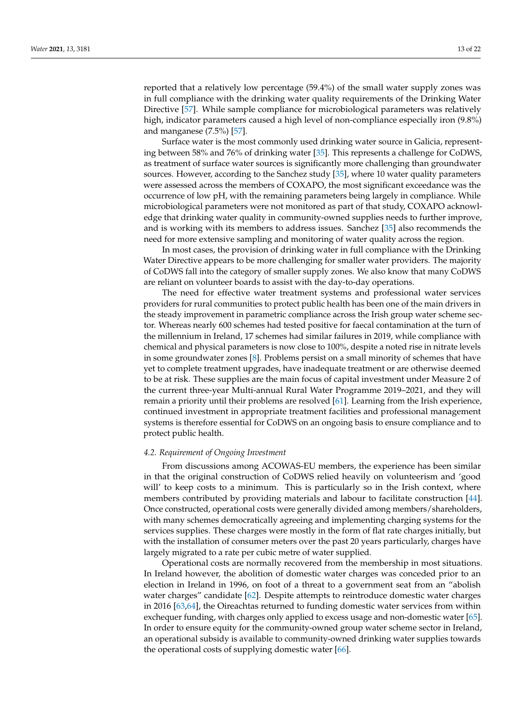reported that a relatively low percentage (59.4%) of the small water supply zones was in full compliance with the drinking water quality requirements of the Drinking Water Directive [\[57\]](#page-20-21). While sample compliance for microbiological parameters was relatively high, indicator parameters caused a high level of non-compliance especially iron (9.8%) and manganese (7.5%) [\[57\]](#page-20-21).

Surface water is the most commonly used drinking water source in Galicia, representing between 58% and 76% of drinking water [\[35\]](#page-19-27). This represents a challenge for CoDWS, as treatment of surface water sources is significantly more challenging than groundwater sources. However, according to the Sanchez study [\[35\]](#page-19-27), where 10 water quality parameters were assessed across the members of COXAPO, the most significant exceedance was the occurrence of low pH, with the remaining parameters being largely in compliance. While microbiological parameters were not monitored as part of that study, COXAPO acknowledge that drinking water quality in community-owned supplies needs to further improve, and is working with its members to address issues. Sanchez [\[35\]](#page-19-27) also recommends the need for more extensive sampling and monitoring of water quality across the region.

In most cases, the provision of drinking water in full compliance with the Drinking Water Directive appears to be more challenging for smaller water providers. The majority of CoDWS fall into the category of smaller supply zones. We also know that many CoDWS are reliant on volunteer boards to assist with the day-to-day operations.

The need for effective water treatment systems and professional water services providers for rural communities to protect public health has been one of the main drivers in the steady improvement in parametric compliance across the Irish group water scheme sector. Whereas nearly 600 schemes had tested positive for faecal contamination at the turn of the millennium in Ireland, 17 schemes had similar failures in 2019, while compliance with chemical and physical parameters is now close to 100%, despite a noted rise in nitrate levels in some groundwater zones [\[8\]](#page-19-0). Problems persist on a small minority of schemes that have yet to complete treatment upgrades, have inadequate treatment or are otherwise deemed to be at risk. These supplies are the main focus of capital investment under Measure 2 of the current three-year Multi-annual Rural Water Programme 2019–2021, and they will remain a priority until their problems are resolved [\[61\]](#page-20-25). Learning from the Irish experience, continued investment in appropriate treatment facilities and professional management systems is therefore essential for CoDWS on an ongoing basis to ensure compliance and to protect public health.

#### *4.2. Requirement of Ongoing Investment*

From discussions among ACOWAS-EU members, the experience has been similar in that the original construction of CoDWS relied heavily on volunteerism and 'good will' to keep costs to a minimum. This is particularly so in the Irish context, where members contributed by providing materials and labour to facilitate construction [\[44\]](#page-20-8). Once constructed, operational costs were generally divided among members/shareholders, with many schemes democratically agreeing and implementing charging systems for the services supplies. These charges were mostly in the form of flat rate charges initially, but with the installation of consumer meters over the past 20 years particularly, charges have largely migrated to a rate per cubic metre of water supplied.

Operational costs are normally recovered from the membership in most situations. In Ireland however, the abolition of domestic water charges was conceded prior to an election in Ireland in 1996, on foot of a threat to a government seat from an "abolish water charges" candidate [\[62\]](#page-20-26). Despite attempts to reintroduce domestic water charges in 2016 [\[63,](#page-20-27)[64\]](#page-20-28), the Oireachtas returned to funding domestic water services from within exchequer funding, with charges only applied to excess usage and non-domestic water [\[65\]](#page-21-0). In order to ensure equity for the community-owned group water scheme sector in Ireland, an operational subsidy is available to community-owned drinking water supplies towards the operational costs of supplying domestic water [\[66\]](#page-21-1).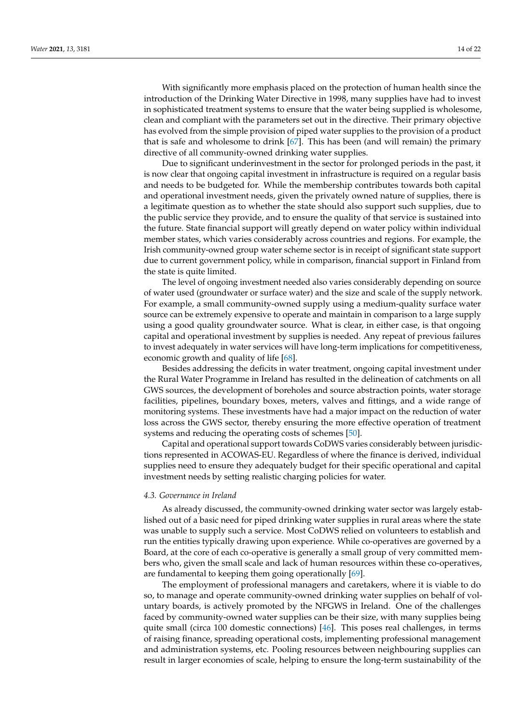With significantly more emphasis placed on the protection of human health since the introduction of the Drinking Water Directive in 1998, many supplies have had to invest in sophisticated treatment systems to ensure that the water being supplied is wholesome, clean and compliant with the parameters set out in the directive. Their primary objective has evolved from the simple provision of piped water supplies to the provision of a product that is safe and wholesome to drink [\[67\]](#page-21-2). This has been (and will remain) the primary directive of all community-owned drinking water supplies.

Due to significant underinvestment in the sector for prolonged periods in the past, it is now clear that ongoing capital investment in infrastructure is required on a regular basis and needs to be budgeted for. While the membership contributes towards both capital and operational investment needs, given the privately owned nature of supplies, there is a legitimate question as to whether the state should also support such supplies, due to the public service they provide, and to ensure the quality of that service is sustained into the future. State financial support will greatly depend on water policy within individual member states, which varies considerably across countries and regions. For example, the Irish community-owned group water scheme sector is in receipt of significant state support due to current government policy, while in comparison, financial support in Finland from the state is quite limited.

The level of ongoing investment needed also varies considerably depending on source of water used (groundwater or surface water) and the size and scale of the supply network. For example, a small community-owned supply using a medium-quality surface water source can be extremely expensive to operate and maintain in comparison to a large supply using a good quality groundwater source. What is clear, in either case, is that ongoing capital and operational investment by supplies is needed. Any repeat of previous failures to invest adequately in water services will have long-term implications for competitiveness, economic growth and quality of life [\[68\]](#page-21-3).

Besides addressing the deficits in water treatment, ongoing capital investment under the Rural Water Programme in Ireland has resulted in the delineation of catchments on all GWS sources, the development of boreholes and source abstraction points, water storage facilities, pipelines, boundary boxes, meters, valves and fittings, and a wide range of monitoring systems. These investments have had a major impact on the reduction of water loss across the GWS sector, thereby ensuring the more effective operation of treatment systems and reducing the operating costs of schemes [\[50\]](#page-20-14).

Capital and operational support towards CoDWS varies considerably between jurisdictions represented in ACOWAS-EU. Regardless of where the finance is derived, individual supplies need to ensure they adequately budget for their specific operational and capital investment needs by setting realistic charging policies for water.

#### *4.3. Governance in Ireland*

As already discussed, the community-owned drinking water sector was largely established out of a basic need for piped drinking water supplies in rural areas where the state was unable to supply such a service. Most CoDWS relied on volunteers to establish and run the entities typically drawing upon experience. While co-operatives are governed by a Board, at the core of each co-operative is generally a small group of very committed members who, given the small scale and lack of human resources within these co-operatives, are fundamental to keeping them going operationally [\[69\]](#page-21-4).

The employment of professional managers and caretakers, where it is viable to do so, to manage and operate community-owned drinking water supplies on behalf of voluntary boards, is actively promoted by the NFGWS in Ireland. One of the challenges faced by community-owned water supplies can be their size, with many supplies being quite small (circa 100 domestic connections) [\[46\]](#page-20-10). This poses real challenges, in terms of raising finance, spreading operational costs, implementing professional management and administration systems, etc. Pooling resources between neighbouring supplies can result in larger economies of scale, helping to ensure the long-term sustainability of the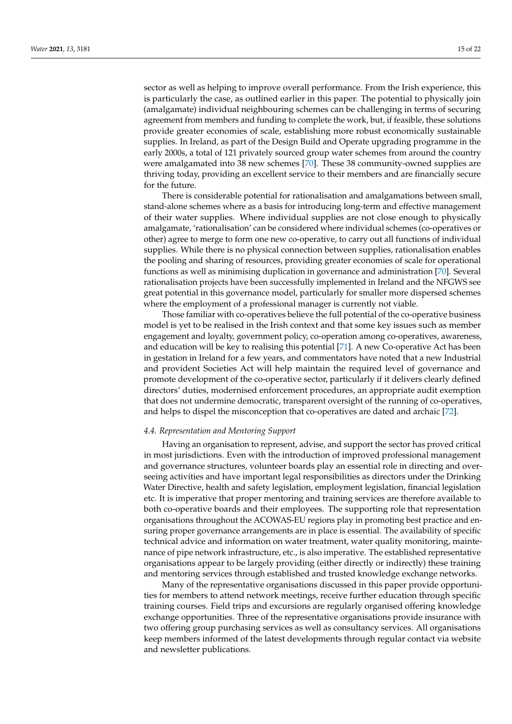sector as well as helping to improve overall performance. From the Irish experience, this is particularly the case, as outlined earlier in this paper. The potential to physically join (amalgamate) individual neighbouring schemes can be challenging in terms of securing agreement from members and funding to complete the work, but, if feasible, these solutions provide greater economies of scale, establishing more robust economically sustainable supplies. In Ireland, as part of the Design Build and Operate upgrading programme in the early 2000s, a total of 121 privately sourced group water schemes from around the country were amalgamated into 38 new schemes [\[70\]](#page-21-5). These 38 community-owned supplies are thriving today, providing an excellent service to their members and are financially secure for the future.

There is considerable potential for rationalisation and amalgamations between small, stand-alone schemes where as a basis for introducing long-term and effective management of their water supplies. Where individual supplies are not close enough to physically amalgamate, 'rationalisation' can be considered where individual schemes (co-operatives or other) agree to merge to form one new co-operative, to carry out all functions of individual supplies. While there is no physical connection between supplies, rationalisation enables the pooling and sharing of resources, providing greater economies of scale for operational functions as well as minimising duplication in governance and administration [\[70\]](#page-21-5). Several rationalisation projects have been successfully implemented in Ireland and the NFGWS see great potential in this governance model, particularly for smaller more dispersed schemes where the employment of a professional manager is currently not viable.

Those familiar with co-operatives believe the full potential of the co-operative business model is yet to be realised in the Irish context and that some key issues such as member engagement and loyalty, government policy, co-operation among co-operatives, awareness, and education will be key to realising this potential [\[71\]](#page-21-6). A new Co-operative Act has been in gestation in Ireland for a few years, and commentators have noted that a new Industrial and provident Societies Act will help maintain the required level of governance and promote development of the co-operative sector, particularly if it delivers clearly defined directors' duties, modernised enforcement procedures, an appropriate audit exemption that does not undermine democratic, transparent oversight of the running of co-operatives, and helps to dispel the misconception that co-operatives are dated and archaic [\[72\]](#page-21-7).

#### *4.4. Representation and Mentoring Support*

Having an organisation to represent, advise, and support the sector has proved critical in most jurisdictions. Even with the introduction of improved professional management and governance structures, volunteer boards play an essential role in directing and overseeing activities and have important legal responsibilities as directors under the Drinking Water Directive, health and safety legislation, employment legislation, financial legislation etc. It is imperative that proper mentoring and training services are therefore available to both co-operative boards and their employees. The supporting role that representation organisations throughout the ACOWAS-EU regions play in promoting best practice and ensuring proper governance arrangements are in place is essential. The availability of specific technical advice and information on water treatment, water quality monitoring, maintenance of pipe network infrastructure, etc., is also imperative. The established representative organisations appear to be largely providing (either directly or indirectly) these training and mentoring services through established and trusted knowledge exchange networks.

Many of the representative organisations discussed in this paper provide opportunities for members to attend network meetings, receive further education through specific training courses. Field trips and excursions are regularly organised offering knowledge exchange opportunities. Three of the representative organisations provide insurance with two offering group purchasing services as well as consultancy services. All organisations keep members informed of the latest developments through regular contact via website and newsletter publications.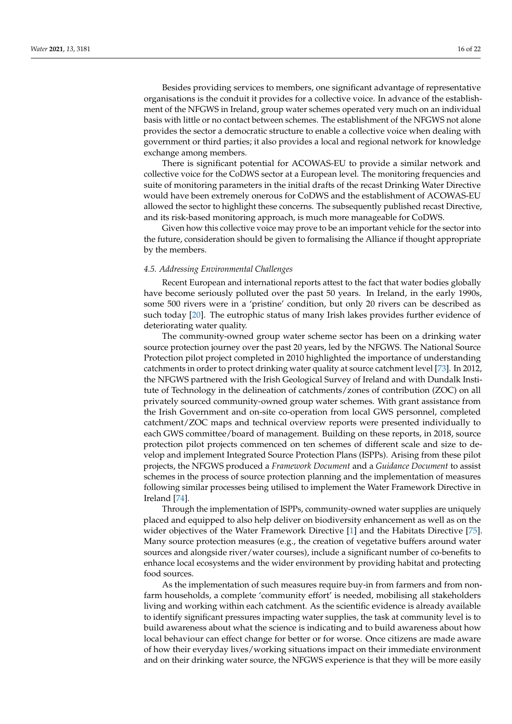Besides providing services to members, one significant advantage of representative organisations is the conduit it provides for a collective voice. In advance of the establishment of the NFGWS in Ireland, group water schemes operated very much on an individual basis with little or no contact between schemes. The establishment of the NFGWS not alone provides the sector a democratic structure to enable a collective voice when dealing with government or third parties; it also provides a local and regional network for knowledge exchange among members.

There is significant potential for ACOWAS-EU to provide a similar network and collective voice for the CoDWS sector at a European level. The monitoring frequencies and suite of monitoring parameters in the initial drafts of the recast Drinking Water Directive would have been extremely onerous for CoDWS and the establishment of ACOWAS-EU allowed the sector to highlight these concerns. The subsequently published recast Directive, and its risk-based monitoring approach, is much more manageable for CoDWS.

Given how this collective voice may prove to be an important vehicle for the sector into the future, consideration should be given to formalising the Alliance if thought appropriate by the members.

#### *4.5. Addressing Environmental Challenges*

Recent European and international reports attest to the fact that water bodies globally have become seriously polluted over the past 50 years. In Ireland, in the early 1990s, some 500 rivers were in a 'pristine' condition, but only 20 rivers can be described as such today [\[20\]](#page-19-12). The eutrophic status of many Irish lakes provides further evidence of deteriorating water quality.

The community-owned group water scheme sector has been on a drinking water source protection journey over the past 20 years, led by the NFGWS. The National Source Protection pilot project completed in 2010 highlighted the importance of understanding catchments in order to protect drinking water quality at source catchment level [\[73\]](#page-21-8). In 2012, the NFGWS partnered with the Irish Geological Survey of Ireland and with Dundalk Institute of Technology in the delineation of catchments/zones of contribution (ZOC) on all privately sourced community-owned group water schemes. With grant assistance from the Irish Government and on-site co-operation from local GWS personnel, completed catchment/ZOC maps and technical overview reports were presented individually to each GWS committee/board of management. Building on these reports, in 2018, source protection pilot projects commenced on ten schemes of different scale and size to develop and implement Integrated Source Protection Plans (ISPPs). Arising from these pilot projects, the NFGWS produced a *Framework Document* and a *Guidance Document* to assist schemes in the process of source protection planning and the implementation of measures following similar processes being utilised to implement the Water Framework Directive in Ireland [\[74\]](#page-21-9).

Through the implementation of ISPPs, community-owned water supplies are uniquely placed and equipped to also help deliver on biodiversity enhancement as well as on the wider objectives of the Water Framework Directive [\[1\]](#page-18-0) and the Habitats Directive [\[75\]](#page-21-10). Many source protection measures (e.g., the creation of vegetative buffers around water sources and alongside river/water courses), include a significant number of co-benefits to enhance local ecosystems and the wider environment by providing habitat and protecting food sources.

As the implementation of such measures require buy-in from farmers and from nonfarm households, a complete 'community effort' is needed, mobilising all stakeholders living and working within each catchment. As the scientific evidence is already available to identify significant pressures impacting water supplies, the task at community level is to build awareness about what the science is indicating and to build awareness about how local behaviour can effect change for better or for worse. Once citizens are made aware of how their everyday lives/working situations impact on their immediate environment and on their drinking water source, the NFGWS experience is that they will be more easily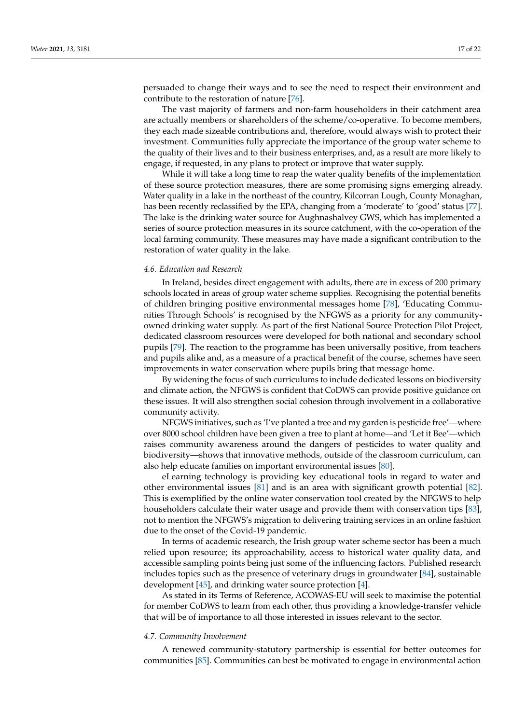persuaded to change their ways and to see the need to respect their environment and contribute to the restoration of nature [\[76\]](#page-21-11).

The vast majority of farmers and non-farm householders in their catchment area are actually members or shareholders of the scheme/co-operative. To become members, they each made sizeable contributions and, therefore, would always wish to protect their investment. Communities fully appreciate the importance of the group water scheme to the quality of their lives and to their business enterprises, and, as a result are more likely to engage, if requested, in any plans to protect or improve that water supply.

While it will take a long time to reap the water quality benefits of the implementation of these source protection measures, there are some promising signs emerging already. Water quality in a lake in the northeast of the country, Kilcorran Lough, County Monaghan, has been recently reclassified by the EPA, changing from a 'moderate' to 'good' status [\[77\]](#page-21-12). The lake is the drinking water source for Aughnashalvey GWS, which has implemented a series of source protection measures in its source catchment, with the co-operation of the local farming community. These measures may have made a significant contribution to the restoration of water quality in the lake.

#### *4.6. Education and Research*

In Ireland, besides direct engagement with adults, there are in excess of 200 primary schools located in areas of group water scheme supplies. Recognising the potential benefits of children bringing positive environmental messages home [\[78\]](#page-21-13), 'Educating Communities Through Schools' is recognised by the NFGWS as a priority for any communityowned drinking water supply. As part of the first National Source Protection Pilot Project, dedicated classroom resources were developed for both national and secondary school pupils [\[79\]](#page-21-14). The reaction to the programme has been universally positive, from teachers and pupils alike and, as a measure of a practical benefit of the course, schemes have seen improvements in water conservation where pupils bring that message home.

By widening the focus of such curriculums to include dedicated lessons on biodiversity and climate action, the NFGWS is confident that CoDWS can provide positive guidance on these issues. It will also strengthen social cohesion through involvement in a collaborative community activity.

NFGWS initiatives, such as 'I've planted a tree and my garden is pesticide free'—where over 8000 school children have been given a tree to plant at home—and 'Let it Bee'—which raises community awareness around the dangers of pesticides to water quality and biodiversity—shows that innovative methods, outside of the classroom curriculum, can also help educate families on important environmental issues [\[80\]](#page-21-15).

eLearning technology is providing key educational tools in regard to water and other environmental issues [\[81\]](#page-21-16) and is an area with significant growth potential [\[82\]](#page-21-17). This is exemplified by the online water conservation tool created by the NFGWS to help householders calculate their water usage and provide them with conservation tips [\[83\]](#page-21-18), not to mention the NFGWS's migration to delivering training services in an online fashion due to the onset of the Covid-19 pandemic.

In terms of academic research, the Irish group water scheme sector has been a much relied upon resource; its approachability, access to historical water quality data, and accessible sampling points being just some of the influencing factors. Published research includes topics such as the presence of veterinary drugs in groundwater [\[84\]](#page-21-19), sustainable development [\[45\]](#page-20-9), and drinking water source protection [\[4\]](#page-18-3).

As stated in its Terms of Reference, ACOWAS-EU will seek to maximise the potential for member CoDWS to learn from each other, thus providing a knowledge-transfer vehicle that will be of importance to all those interested in issues relevant to the sector.

#### *4.7. Community Involvement*

A renewed community-statutory partnership is essential for better outcomes for communities [\[85\]](#page-21-20). Communities can best be motivated to engage in environmental action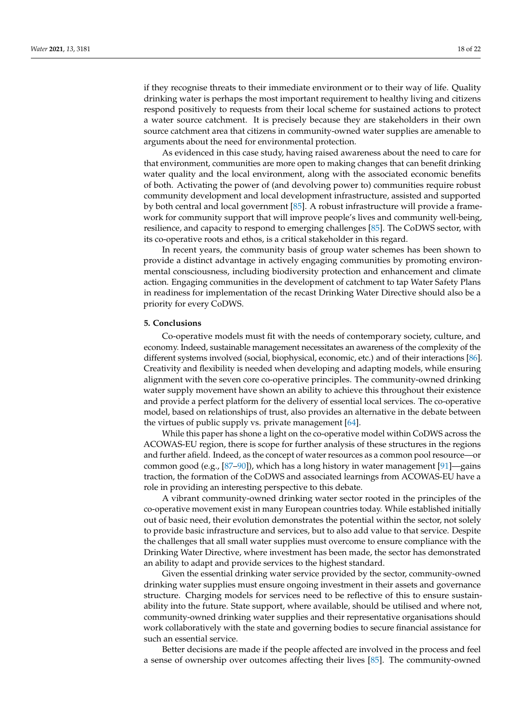if they recognise threats to their immediate environment or to their way of life. Quality drinking water is perhaps the most important requirement to healthy living and citizens respond positively to requests from their local scheme for sustained actions to protect a water source catchment. It is precisely because they are stakeholders in their own source catchment area that citizens in community-owned water supplies are amenable to arguments about the need for environmental protection.

As evidenced in this case study, having raised awareness about the need to care for that environment, communities are more open to making changes that can benefit drinking water quality and the local environment, along with the associated economic benefits of both. Activating the power of (and devolving power to) communities require robust community development and local development infrastructure, assisted and supported by both central and local government [\[85\]](#page-21-20). A robust infrastructure will provide a framework for community support that will improve people's lives and community well-being, resilience, and capacity to respond to emerging challenges [\[85\]](#page-21-20). The CoDWS sector, with its co-operative roots and ethos, is a critical stakeholder in this regard.

In recent years, the community basis of group water schemes has been shown to provide a distinct advantage in actively engaging communities by promoting environmental consciousness, including biodiversity protection and enhancement and climate action. Engaging communities in the development of catchment to tap Water Safety Plans in readiness for implementation of the recast Drinking Water Directive should also be a priority for every CoDWS.

#### **5. Conclusions**

Co-operative models must fit with the needs of contemporary society, culture, and economy. Indeed, sustainable management necessitates an awareness of the complexity of the different systems involved (social, biophysical, economic, etc.) and of their interactions [\[86\]](#page-21-21). Creativity and flexibility is needed when developing and adapting models, while ensuring alignment with the seven core co-operative principles. The community-owned drinking water supply movement have shown an ability to achieve this throughout their existence and provide a perfect platform for the delivery of essential local services. The co-operative model, based on relationships of trust, also provides an alternative in the debate between the virtues of public supply vs. private management [\[64\]](#page-20-28).

While this paper has shone a light on the co-operative model within CoDWS across the ACOWAS-EU region, there is scope for further analysis of these structures in the regions and further afield. Indeed, as the concept of water resources as a common pool resource—or common good (e.g.,  $[87–90]$  $[87–90]$ ), which has a long history in water management  $[91]$ —gains traction, the formation of the CoDWS and associated learnings from ACOWAS-EU have a role in providing an interesting perspective to this debate.

A vibrant community-owned drinking water sector rooted in the principles of the co-operative movement exist in many European countries today. While established initially out of basic need, their evolution demonstrates the potential within the sector, not solely to provide basic infrastructure and services, but to also add value to that service. Despite the challenges that all small water supplies must overcome to ensure compliance with the Drinking Water Directive, where investment has been made, the sector has demonstrated an ability to adapt and provide services to the highest standard.

Given the essential drinking water service provided by the sector, community-owned drinking water supplies must ensure ongoing investment in their assets and governance structure. Charging models for services need to be reflective of this to ensure sustainability into the future. State support, where available, should be utilised and where not, community-owned drinking water supplies and their representative organisations should work collaboratively with the state and governing bodies to secure financial assistance for such an essential service.

Better decisions are made if the people affected are involved in the process and feel a sense of ownership over outcomes affecting their lives [\[85\]](#page-21-20). The community-owned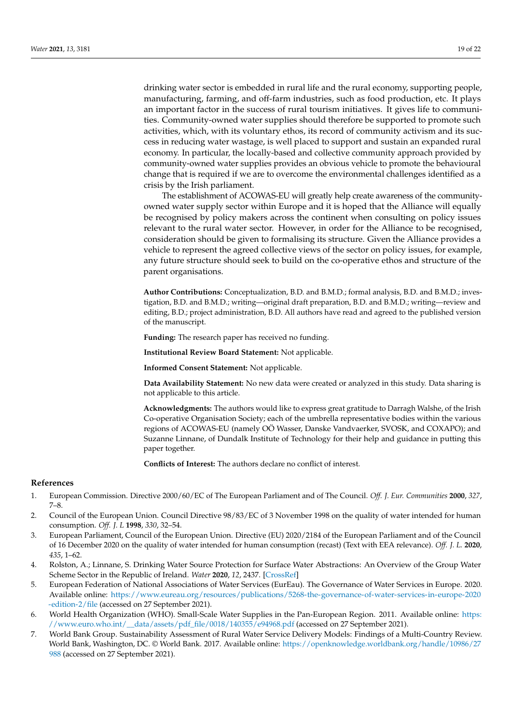drinking water sector is embedded in rural life and the rural economy, supporting people, manufacturing, farming, and off-farm industries, such as food production, etc. It plays an important factor in the success of rural tourism initiatives. It gives life to communities. Community-owned water supplies should therefore be supported to promote such activities, which, with its voluntary ethos, its record of community activism and its success in reducing water wastage, is well placed to support and sustain an expanded rural economy. In particular, the locally-based and collective community approach provided by community-owned water supplies provides an obvious vehicle to promote the behavioural change that is required if we are to overcome the environmental challenges identified as a crisis by the Irish parliament.

The establishment of ACOWAS-EU will greatly help create awareness of the communityowned water supply sector within Europe and it is hoped that the Alliance will equally be recognised by policy makers across the continent when consulting on policy issues relevant to the rural water sector. However, in order for the Alliance to be recognised, consideration should be given to formalising its structure. Given the Alliance provides a vehicle to represent the agreed collective views of the sector on policy issues, for example, any future structure should seek to build on the co-operative ethos and structure of the parent organisations.

**Author Contributions:** Conceptualization, B.D. and B.M.D.; formal analysis, B.D. and B.M.D.; investigation, B.D. and B.M.D.; writing—original draft preparation, B.D. and B.M.D.; writing—review and editing, B.D.; project administration, B.D. All authors have read and agreed to the published version of the manuscript.

**Funding:** The research paper has received no funding.

**Institutional Review Board Statement:** Not applicable.

**Informed Consent Statement:** Not applicable.

**Data Availability Statement:** No new data were created or analyzed in this study. Data sharing is not applicable to this article.

**Acknowledgments:** The authors would like to express great gratitude to Darragh Walshe, of the Irish Co-operative Organisation Society; each of the umbrella representative bodies within the various regions of ACOWAS-EU (namely OÖ Wasser, Danske Vandvaerker, SVOSK, and COXAPO); and Suzanne Linnane, of Dundalk Institute of Technology for their help and guidance in putting this paper together.

**Conflicts of Interest:** The authors declare no conflict of interest.

# **References**

- <span id="page-18-0"></span>1. European Commission. Directive 2000/60/EC of The European Parliament and of The Council. *Off. J. Eur. Communities* **2000**, *327*, 7–8.
- <span id="page-18-1"></span>2. Council of the European Union. Council Directive 98/83/EC of 3 November 1998 on the quality of water intended for human consumption. *Off. J. L* **1998**, *330*, 32–54.
- <span id="page-18-2"></span>3. European Parliament, Council of the European Union. Directive (EU) 2020/2184 of the European Parliament and of the Council of 16 December 2020 on the quality of water intended for human consumption (recast) (Text with EEA relevance). *Off. J. L.* **2020**, *435*, 1–62.
- <span id="page-18-3"></span>4. Rolston, A.; Linnane, S. Drinking Water Source Protection for Surface Water Abstractions: An Overview of the Group Water Scheme Sector in the Republic of Ireland. *Water* **2020**, *12*, 2437. [\[CrossRef\]](http://doi.org/10.3390/w12092437)
- <span id="page-18-4"></span>5. European Federation of National Associations of Water Services (EurEau). The Governance of Water Services in Europe. 2020. Available online: [https://www.eureau.org/resources/publications/5268-the-governance-of-water-services-in-europe-2020](https://www.eureau.org/resources/publications/5268-the-governance-of-water-services-in-europe-2020-edition-2/file) [-edition-2/file](https://www.eureau.org/resources/publications/5268-the-governance-of-water-services-in-europe-2020-edition-2/file) (accessed on 27 September 2021).
- <span id="page-18-5"></span>6. World Health Organization (WHO). Small-Scale Water Supplies in the Pan-European Region. 2011. Available online: [https:](https://www.euro.who.int/__data/assets/pdf_file/0018/140355/e94968.pdf) [//www.euro.who.int/\\_\\_data/assets/pdf\\_file/0018/140355/e94968.pdf](https://www.euro.who.int/__data/assets/pdf_file/0018/140355/e94968.pdf) (accessed on 27 September 2021).
- <span id="page-18-6"></span>7. World Bank Group. Sustainability Assessment of Rural Water Service Delivery Models: Findings of a Multi-Country Review. World Bank, Washington, DC. © World Bank. 2017. Available online: [https://openknowledge.worldbank.org/handle/10986/27](https://openknowledge.worldbank.org/handle/10986/27988) [988](https://openknowledge.worldbank.org/handle/10986/27988) (accessed on 27 September 2021).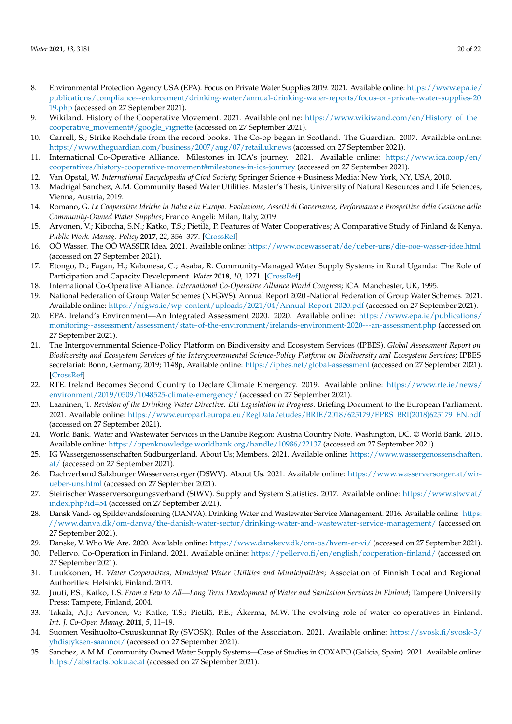- <span id="page-19-0"></span>8. Environmental Protection Agency USA (EPA). Focus on Private Water Supplies 2019. 2021. Available online: [https://www.epa.ie/](https://www.epa.ie/publications/compliance--enforcement/drinking-water/annual-drinking-water-reports/focus-on-private-water-supplies-2019.php) [publications/compliance--enforcement/drinking-water/annual-drinking-water-reports/focus-on-private-water-supplies-20](https://www.epa.ie/publications/compliance--enforcement/drinking-water/annual-drinking-water-reports/focus-on-private-water-supplies-2019.php) [19.php](https://www.epa.ie/publications/compliance--enforcement/drinking-water/annual-drinking-water-reports/focus-on-private-water-supplies-2019.php) (accessed on 27 September 2021).
- <span id="page-19-1"></span>9. Wikiland. History of the Cooperative Movement. 2021. Available online: [https://www.wikiwand.com/en/History\\_of\\_the\\_](https://www.wikiwand.com/en/History_of_the_cooperative_movement#/google_vignette) [cooperative\\_movement#/google\\_vignette](https://www.wikiwand.com/en/History_of_the_cooperative_movement#/google_vignette) (accessed on 27 September 2021).
- <span id="page-19-2"></span>10. Carrell, S.; Strike Rochdale from the record books. The Co-op began in Scotland. The Guardian. 2007. Available online: <https://www.theguardian.com/business/2007/aug/07/retail.uknews> (accessed on 27 September 2021).
- <span id="page-19-3"></span>11. International Co-Operative Alliance. Milestones in ICA's journey. 2021. Available online: [https://www.ica.coop/en/](https://www.ica.coop/en/cooperatives/history-cooperative-movement#milestones-in-ica-journey) [cooperatives/history-cooperative-movement#milestones-in-ica-journey](https://www.ica.coop/en/cooperatives/history-cooperative-movement#milestones-in-ica-journey) (accessed on 27 September 2021).
- <span id="page-19-4"></span>12. Van Opstal, W. *International Encyclopedia of Civil Society*; Springer Science + Business Media: New York, NY, USA, 2010.
- <span id="page-19-5"></span>13. Madrigal Sanchez, A.M. Community Based Water Utilities. Master's Thesis, University of Natural Resources and Life Sciences, Vienna, Austria, 2019.
- <span id="page-19-6"></span>14. Romano, G. *Le Cooperative Idriche in Italia e in Europa. Evoluzione, Assetti di Governance, Performance e Prospettive della Gestione delle Community-Owned Water Supplies*; Franco Angeli: Milan, Italy, 2019.
- <span id="page-19-7"></span>15. Arvonen, V.; Kibocha, S.N.; Katko, T.S.; Pietilä, P. Features of Water Cooperatives; A Comparative Study of Finland & Kenya. *Public Work. Manag. Policy* **2017**, *22*, 356–377. [\[CrossRef\]](http://doi.org/10.1177/1087724X17715267)
- <span id="page-19-8"></span>16. OÖ Wasser. The OÖ WASSER Idea. 2021. Available online: <https://www.ooewasser.at/de/ueber-uns/die-ooe-wasser-idee.html> (accessed on 27 September 2021).
- <span id="page-19-9"></span>17. Etongo, D.; Fagan, H.; Kabonesa, C.; Asaba, R. Community-Managed Water Supply Systems in Rural Uganda: The Role of Participation and Capacity Development. *Water* **2018**, *10*, 1271. [\[CrossRef\]](http://doi.org/10.3390/w10091271)
- <span id="page-19-10"></span>18. International Co-Operative Alliance. *International Co-Operative Alliance World Congress*; ICA: Manchester, UK, 1995.
- <span id="page-19-11"></span>19. National Federation of Group Water Schemes (NFGWS). Annual Report 2020 -National Federation of Group Water Schemes. 2021. Available online: <https://nfgws.ie/wp-content/uploads/2021/04/Annual-Report-2020.pdf> (accessed on 27 September 2021).
- <span id="page-19-12"></span>20. EPA. Ireland's Environment—An Integrated Assessment 2020. 2020. Available online: [https://www.epa.ie/publications/](https://www.epa.ie/publications/monitoring--assessment/assessment/state-of-the-environment/irelands-environment-2020---an-assessment.php) [monitoring--assessment/assessment/state-of-the-environment/irelands-environment-2020---an-assessment.php](https://www.epa.ie/publications/monitoring--assessment/assessment/state-of-the-environment/irelands-environment-2020---an-assessment.php) (accessed on 27 September 2021).
- <span id="page-19-13"></span>21. The Intergovernmental Science-Policy Platform on Biodiversity and Ecosystem Services (IPBES). *Global Assessment Report on Biodiversity and Ecosystem Services of the Intergovernmental Science-Policy Platform on Biodiversity and Ecosystem Services*; IPBES secretariat: Bonn, Germany, 2019; 1148p, Available online: <https://ipbes.net/global-assessment> (accessed on 27 September 2021). [\[CrossRef\]](http://doi.org/10.5281/zenodo.3831673)
- <span id="page-19-14"></span>22. RTE. Ireland Becomes Second Country to Declare Climate Emergency. 2019. Available online: [https://www.rte.ie/news/](https://www.rte.ie/news/environment/2019/0509/1048525-climate-emergency/) [environment/2019/0509/1048525-climate-emergency/](https://www.rte.ie/news/environment/2019/0509/1048525-climate-emergency/) (accessed on 27 September 2021).
- <span id="page-19-15"></span>23. Laaninen, T. *Revision of the Drinking Water Directive. EU Legislation in Progress*. Briefing Document to the European Parliament. 2021. Available online: [https://www.europarl.europa.eu/RegData/etudes/BRIE/2018/625179/EPRS\\_BRI\(2018\)625179\\_EN.pdf](https://www.europarl.europa.eu/RegData/etudes/BRIE/2018/625179/EPRS_BRI(2018)625179_EN.pdf) (accessed on 27 September 2021).
- <span id="page-19-16"></span>24. World Bank. Water and Wastewater Services in the Danube Region: Austria Country Note. Washington, DC. © World Bank. 2015. Available online: <https://openknowledge.worldbank.org/handle/10986/22137> (accessed on 27 September 2021).
- <span id="page-19-17"></span>25. IG Wassergenossenschaften Südburgenland. About Us; Members. 2021. Available online: [https://www.wassergenossenschaften.](https://www.wassergenossenschaften.at/) [at/](https://www.wassergenossenschaften.at/) (accessed on 27 September 2021).
- <span id="page-19-18"></span>26. Dachverband Salzburger Wasserversorger (DSWV). About Us. 2021. Available online: [https://www.wasserversorger.at/wir](https://www.wasserversorger.at/wir-ueber-uns.html)[ueber-uns.html](https://www.wasserversorger.at/wir-ueber-uns.html) (accessed on 27 September 2021).
- <span id="page-19-19"></span>27. Steirischer Wasserversorgungsverband (StWV). Supply and System Statistics. 2017. Available online: [https://www.stwv.at/](https://www.stwv.at/index.php?id=54) [index.php?id=54](https://www.stwv.at/index.php?id=54) (accessed on 27 September 2021).
- <span id="page-19-20"></span>28. Dansk Vand- og Spildevandsforening (DANVA). Drinking Water and Wastewater Service Management. 2016. Available online: [https:](https://www.danva.dk/om-danva/the-danish-water-sector/drinking-water-and-wastewater-service-management/) [//www.danva.dk/om-danva/the-danish-water-sector/drinking-water-and-wastewater-service-management/](https://www.danva.dk/om-danva/the-danish-water-sector/drinking-water-and-wastewater-service-management/) (accessed on 27 September 2021).
- <span id="page-19-21"></span>29. Danske, V. Who We Are. 2020. Available online: <https://www.danskevv.dk/om-os/hvem-er-vi/> (accessed on 27 September 2021).
- <span id="page-19-22"></span>30. Pellervo. Co-Operation in Finland. 2021. Available online: <https://pellervo.fi/en/english/cooperation-finland/> (accessed on 27 September 2021).
- <span id="page-19-23"></span>31. Luukkonen, H. *Water Cooperatives, Municipal Water Utilities and Municipalities*; Association of Finnish Local and Regional Authorities: Helsinki, Finland, 2013.
- <span id="page-19-24"></span>32. Juuti, P.S.; Katko, T.S. *From a Few to All—Long Term Development of Water and Sanitation Services in Finland*; Tampere University Press: Tampere, Finland, 2004.
- <span id="page-19-25"></span>33. Takala, A.J.; Arvonen, V.; Katko, T.S.; Pietilä, P.E.; Åkerma, M.W. The evolving role of water co-operatives in Finland. *Int. J. Co-Oper. Manag.* **2011**, *5*, 11–19.
- <span id="page-19-26"></span>34. Suomen Vesihuolto-Osuuskunnat Ry (SVOSK). Rules of the Association. 2021. Available online: [https://svosk.fi/svosk-3/](https://svosk.fi/svosk-3/yhdistyksen-saannot/) [yhdistyksen-saannot/](https://svosk.fi/svosk-3/yhdistyksen-saannot/) (accessed on 27 September 2021).
- <span id="page-19-27"></span>35. Sanchez, A.M.M. Community Owned Water Supply Systems—Case of Studies in COXAPO (Galicia, Spain). 2021. Available online: <https://abstracts.boku.ac.at> (accessed on 27 September 2021).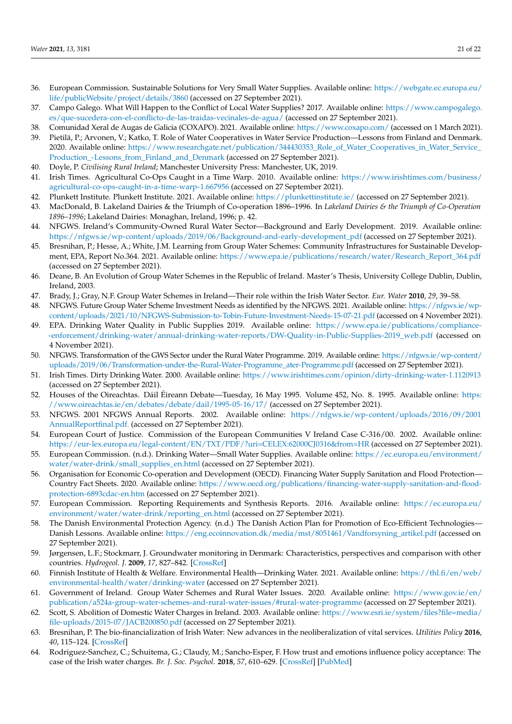- <span id="page-20-0"></span>36. European Commission. Sustainable Solutions for Very Small Water Supplies. Available online: [https://webgate.ec.europa.eu/](https://webgate.ec.europa.eu/life/publicWebsite/project/details/3860) [life/publicWebsite/project/details/3860](https://webgate.ec.europa.eu/life/publicWebsite/project/details/3860) (accessed on 27 September 2021).
- <span id="page-20-1"></span>37. Campo Galego. What Will Happen to the Conflict of Local Water Supplies? 2017. Available online: [https://www.campogalego.](https://www.campogalego.es/que-sucedera-con-el-conflicto-de-las-traidas-vecinales-de-agua/) [es/que-sucedera-con-el-conflicto-de-las-traidas-vecinales-de-agua/](https://www.campogalego.es/que-sucedera-con-el-conflicto-de-las-traidas-vecinales-de-agua/) (accessed on 27 September 2021).
- <span id="page-20-3"></span><span id="page-20-2"></span>38. Comunidad Xeral de Augas de Galicia (COXAPO). 2021. Available online: <https://www.coxapo.com/> (accessed on 1 March 2021). 39. Pietilä, P.; Arvonen, V.; Katko, T. Role of Water Cooperatives in Water Service Production—Lessons from Finland and Denmark.
- 2020. Available online: [https://www.researchgate.net/publication/344430353\\_Role\\_of\\_Water\\_Cooperatives\\_in\\_Water\\_Service\\_](https://www.researchgate.net/publication/344430353_Role_of_Water_Cooperatives_in_Water_Service_Production_-Lessons_from_Finland_and_Denmark) [Production\\_-Lessons\\_from\\_Finland\\_and\\_Denmark](https://www.researchgate.net/publication/344430353_Role_of_Water_Cooperatives_in_Water_Service_Production_-Lessons_from_Finland_and_Denmark) (accessed on 27 September 2021).
- <span id="page-20-4"></span>40. Doyle, P. *Civilising Rural Ireland*; Manchester University Press: Manchester, UK, 2019.
- <span id="page-20-5"></span>41. Irish Times. Agricultural Co-Ops Caught in a Time Warp. 2010. Available online: [https://www.irishtimes.com/business/](https://www.irishtimes.com/business/agricultural-co-ops-caught-in-a-time-warp-1.667956) [agricultural-co-ops-caught-in-a-time-warp-1.667956](https://www.irishtimes.com/business/agricultural-co-ops-caught-in-a-time-warp-1.667956) (accessed on 27 September 2021).
- <span id="page-20-6"></span>42. Plunkett Institute. Plunkett Institute. 2021. Available online: <https://plunkettinstitute.ie/> (accessed on 27 September 2021).
- <span id="page-20-7"></span>43. MacDonald, B. Lakeland Dairies & the Triumph of Co-operation 1896–1996. In *Lakeland Dairies & the Triumph of Co-Operation 1896–1996*; Lakeland Dairies: Monaghan, Ireland, 1996; p. 42.
- <span id="page-20-8"></span>44. NFGWS. Ireland's Community-Owned Rural Water Sector—Background and Early Development. 2019. Available online: [https://nfgws.ie/wp-content/uploads/2019/06/Background-and-early-development\\_pdf](https://nfgws.ie/wp-content/uploads/2019/06/Background-and-early-development_pdf) (accessed on 27 September 2021).
- <span id="page-20-9"></span>45. Bresnihan, P.; Hesse, A.; White, J.M. Learning from Group Water Schemes: Community Infrastructures for Sustainable Development, EPA, Report No.364. 2021. Available online: [https://www.epa.ie/publications/research/water/Research\\_Report\\_364.pdf](https://www.epa.ie/publications/research/water/Research_Report_364.pdf) (accessed on 27 September 2021).
- <span id="page-20-10"></span>46. Deane, B. An Evolution of Group Water Schemes in the Republic of Ireland. Master's Thesis, University College Dublin, Dublin, Ireland, 2003.
- <span id="page-20-11"></span>47. Brady, J.; Gray, N.F. Group Water Schemes in Ireland—Their role within the Irish Water Sector. *Eur. Water* **2010**, *29*, 39–58.
- <span id="page-20-12"></span>48. NFGWS. Future Group Water Scheme Investment Needs as identified by the NFGWS. 2021. Available online: [https://nfgws.ie/wp](https://nfgws.ie/wp-content/uploads/2021/10/NFGWS-Submission-to-Tobin-Future-Investment-Needs-15-07-21.pdf)[content/uploads/2021/10/NFGWS-Submission-to-Tobin-Future-Investment-Needs-15-07-21.pdf](https://nfgws.ie/wp-content/uploads/2021/10/NFGWS-Submission-to-Tobin-Future-Investment-Needs-15-07-21.pdf) (accessed on 4 November 2021).
- <span id="page-20-13"></span>49. EPA. Drinking Water Quality in Public Supplies 2019. Available online: [https://www.epa.ie/publications/compliance-](https://www.epa.ie/publications/compliance--enforcement/drinking-water/annual-drinking-water-reports/DW-Quality-in-Public-Supplies-2019_web.pdf) [-enforcement/drinking-water/annual-drinking-water-reports/DW-Quality-in-Public-Supplies-2019\\_web.pdf](https://www.epa.ie/publications/compliance--enforcement/drinking-water/annual-drinking-water-reports/DW-Quality-in-Public-Supplies-2019_web.pdf) (accessed on 4 November 2021).
- <span id="page-20-14"></span>50. NFGWS. Transformation of the GWS Sector under the Rural Water Programme. 2019. Available online: [https://nfgws.ie/wp-content/](https://nfgws.ie/wp-content/uploads/2019/06/Transformation-under-the-Rural-Water-Programme_ater-Programme.pdf) [uploads/2019/06/Transformation-under-the-Rural-Water-Programme\\_ater-Programme.pdf](https://nfgws.ie/wp-content/uploads/2019/06/Transformation-under-the-Rural-Water-Programme_ater-Programme.pdf) (accessed on 27 September 2021).
- <span id="page-20-15"></span>51. Irish Times. Dirty Drinking Water. 2000. Available online: <https://www.irishtimes.com/opinion/dirty-drinking-water-1.1120913> (accessed on 27 September 2021).
- <span id="page-20-16"></span>52. Houses of the Oireachtas. Dáil Éireann Debate—Tuesday, 16 May 1995. Volume 452, No. 8. 1995. Available online: [https:](https://www.oireachtas.ie/en/debates/debate/dail/1995-05-16/17/) [//www.oireachtas.ie/en/debates/debate/dail/1995-05-16/17/](https://www.oireachtas.ie/en/debates/debate/dail/1995-05-16/17/) (accessed on 27 September 2021).
- <span id="page-20-17"></span>53. NFGWS. 2001 NFGWS Annual Reports. 2002. Available online: [https://nfgws.ie/wp-content/uploads/2016/09/2001](https://nfgws.ie/wp-content/uploads/2016/09/2001AnnualReportfinal.pdf.) [AnnualReportfinal.pdf.](https://nfgws.ie/wp-content/uploads/2016/09/2001AnnualReportfinal.pdf.) (accessed on 27 September 2021).
- <span id="page-20-18"></span>54. European Court of Justice. Commission of the European Communities V Ireland Case C-316/00. 2002. Available online: <https://eur-lex.europa.eu/legal-content/EN/TXT/PDF/?uri=CELEX:62000CJ0316&from=HR> (accessed on 27 September 2021).
- <span id="page-20-19"></span>55. European Commission. (n.d.). Drinking Water—Small Water Supplies. Available online: [https://ec.europa.eu/environment/](https://ec.europa.eu/environment/water/water-drink/small_supplies_en.html) [water/water-drink/small\\_supplies\\_en.html](https://ec.europa.eu/environment/water/water-drink/small_supplies_en.html) (accessed on 27 September 2021).
- <span id="page-20-20"></span>56. Organisation for Economic Co-operation and Development (OECD). Financing Water Supply Sanitation and Flood Protection— Country Fact Sheets. 2020. Available online: [https://www.oecd.org/publications/financing-water-supply-sanitation-and-flood](https://www.oecd.org/publications/financing-water-supply-sanitation-and-flood-protection-6893cdac-en.htm)[protection-6893cdac-en.htm](https://www.oecd.org/publications/financing-water-supply-sanitation-and-flood-protection-6893cdac-en.htm) (accessed on 27 September 2021).
- <span id="page-20-21"></span>57. European Commission. Reporting Requirements and Synthesis Reports. 2016. Available online: [https://ec.europa.eu/](https://ec.europa.eu/environment/water/water-drink/reporting_en.html) [environment/water/water-drink/reporting\\_en.html](https://ec.europa.eu/environment/water/water-drink/reporting_en.html) (accessed on 27 September 2021).
- <span id="page-20-22"></span>58. The Danish Environmental Protection Agency. (n.d.) The Danish Action Plan for Promotion of Eco-Efficient Technologies Danish Lessons. Available online: [https://eng.ecoinnovation.dk/media/mst/8051461/Vandforsyning\\_artikel.pdf](https://eng.ecoinnovation.dk/media/mst/8051461/Vandforsyning_artikel.pdf) (accessed on 27 September 2021).
- <span id="page-20-23"></span>59. Jørgensen, L.F.; Stockmarr, J. Groundwater monitoring in Denmark: Characteristics, perspectives and comparison with other countries. *Hydrogeol. J.* **2009**, *17*, 827–842. [\[CrossRef\]](http://doi.org/10.1007/s10040-008-0398-7)
- <span id="page-20-24"></span>60. Finnish Institute of Health & Welfare. Environmental Health—Drinking Water. 2021. Available online: [https://thl.fi/en/web/](https://thl.fi/en/web/environmental-health/water/drinking-water) [environmental-health/water/drinking-water](https://thl.fi/en/web/environmental-health/water/drinking-water) (accessed on 27 September 2021).
- <span id="page-20-25"></span>61. Government of Ireland. Group Water Schemes and Rural Water Issues. 2020. Available online: [https://www.gov.ie/en/](https://www.gov.ie/en/publication/a524a-group-water-schemes-and-rural-water-issues/#rural-water-programme) [publication/a524a-group-water-schemes-and-rural-water-issues/#rural-water-programme](https://www.gov.ie/en/publication/a524a-group-water-schemes-and-rural-water-issues/#rural-water-programme) (accessed on 27 September 2021).
- <span id="page-20-26"></span>62. Scott, S. Abolition of Domestic Water Charges in Ireland. 2003. Available online: [https://www.esri.ie/system/files?file=media/](https://www.esri.ie/system/files?file=media/file-uploads/2015-07/JACB200850.pdf) [file-uploads/2015-07/JACB200850.pdf](https://www.esri.ie/system/files?file=media/file-uploads/2015-07/JACB200850.pdf) (accessed on 27 September 2021).
- <span id="page-20-27"></span>63. Bresnihan, P. The bio-financialization of Irish Water: New advances in the neoliberalization of vital services. *Utilities Policy* **2016**, *40*, 115–124. [\[CrossRef\]](http://doi.org/10.1016/j.jup.2015.11.006)
- <span id="page-20-28"></span>64. Rodriguez-Sanchez, C.; Schuitema, G.; Claudy, M.; Sancho-Esper, F. How trust and emotions influence policy acceptance: The case of the Irish water charges. *Br. J. Soc. Psychol.* **2018**, *57*, 610–629. [\[CrossRef\]](http://doi.org/10.1111/bjso.12242) [\[PubMed\]](http://www.ncbi.nlm.nih.gov/pubmed/29392740)